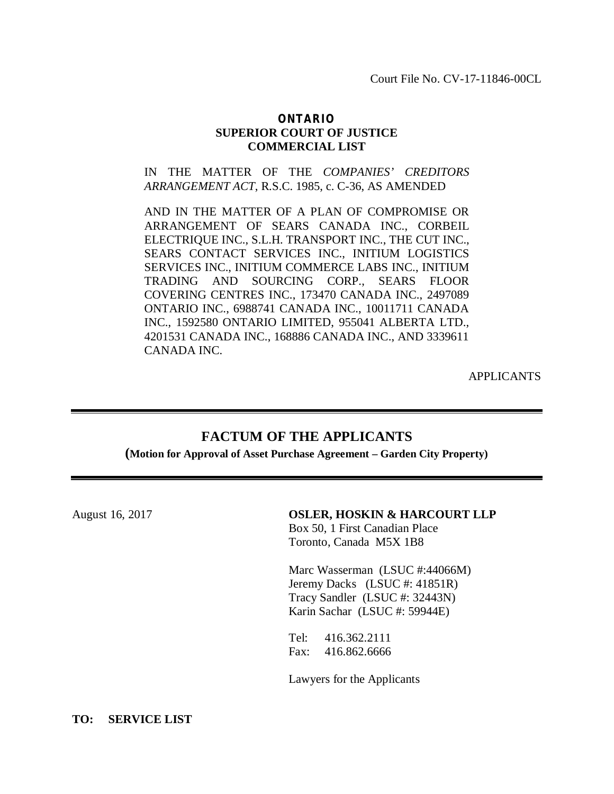Court File No. CV-17-11846-00CL

## *ONTARIO* **SUPERIOR COURT OF JUSTICE COMMERCIAL LIST**

IN THE MATTER OF THE *COMPANIES' CREDITORS ARRANGEMENT ACT*, R.S.C. 1985, c. C-36, AS AMENDED

AND IN THE MATTER OF A PLAN OF COMPROMISE OR ARRANGEMENT OF SEARS CANADA INC., CORBEIL ELECTRIQUE INC., S.L.H. TRANSPORT INC., THE CUT INC., SEARS CONTACT SERVICES INC., INITIUM LOGISTICS SERVICES INC., INITIUM COMMERCE LABS INC., INITIUM TRADING AND SOURCING CORP., SEARS FLOOR COVERING CENTRES INC., 173470 CANADA INC., 2497089 ONTARIO INC., 6988741 CANADA INC., 10011711 CANADA INC., 1592580 ONTARIO LIMITED, 955041 ALBERTA LTD., 4201531 CANADA INC., 168886 CANADA INC., AND 3339611 CANADA INC.

APPLICANTS

## **FACTUM OF THE APPLICANTS**

**(Motion for Approval of Asset Purchase Agreement – Garden City Property)**

| August 16, 2017 | <b>OSLER, HOSKIN &amp; HARCOURT LLP</b><br>Box 50, 1 First Canadian Place<br>Toronto, Canada M5X 1B8                               |
|-----------------|------------------------------------------------------------------------------------------------------------------------------------|
|                 | Marc Wasserman (LSUC #:44066M)<br>Jeremy Dacks (LSUC #: 41851R)<br>Tracy Sandler (LSUC #: 32443N)<br>Karin Sachar (LSUC #: 59944E) |
|                 | Tel: $416.362.2111$<br>Fax: 416.862.6666<br>Lawyers for the Applicants                                                             |

## **TO: SERVICE LIST**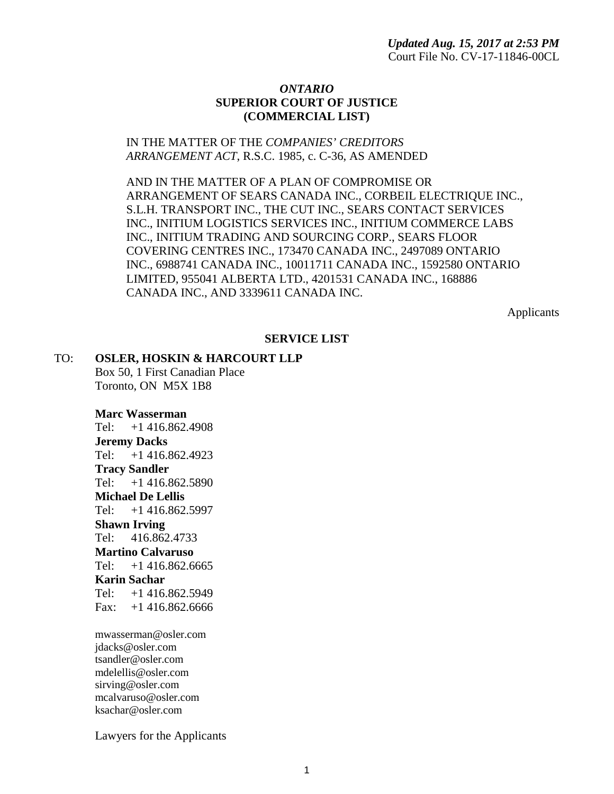## *ONTARIO* **SUPERIOR COURT OF JUSTICE (COMMERCIAL LIST)**

## IN THE MATTER OF THE *COMPANIES' CREDITORS ARRANGEMENT ACT*, R.S.C. 1985, c. C-36, AS AMENDED

AND IN THE MATTER OF A PLAN OF COMPROMISE OR ARRANGEMENT OF SEARS CANADA INC., CORBEIL ELECTRIQUE INC., S.L.H. TRANSPORT INC., THE CUT INC., SEARS CONTACT SERVICES INC., INITIUM LOGISTICS SERVICES INC., INITIUM COMMERCE LABS INC., INITIUM TRADING AND SOURCING CORP., SEARS FLOOR COVERING CENTRES INC., 173470 CANADA INC., 2497089 ONTARIO INC., 6988741 CANADA INC., 10011711 CANADA INC., 1592580 ONTARIO LIMITED, 955041 ALBERTA LTD., 4201531 CANADA INC., 168886 CANADA INC., AND 3339611 CANADA INC.

Applicants

## **SERVICE LIST**

## TO: **OSLER, HOSKIN & HARCOURT LLP**

Box 50, 1 First Canadian Place Toronto, ON M5X 1B8

### **Marc Wasserman**

Tel: +1 416.862.4908 **Jeremy Dacks** Tel: +1 416.862.4923 **Tracy Sandler** Tel: +1 416.862.5890 **Michael De Lellis** Tel: +1 416.862.5997 **Shawn Irving** Tel: 416.862.4733 **Martino Calvaruso** Tel: +1 416.862.6665 **Karin Sachar** Tel: +1 416.862.5949 Fax: +1 416.862.6666

mwasserman@osler.com jdacks@osler.com tsandler@osler.com mdelellis@osler.com sirving@osler.com mcalvaruso@osler.com ksachar@osler.com

Lawyers for the Applicants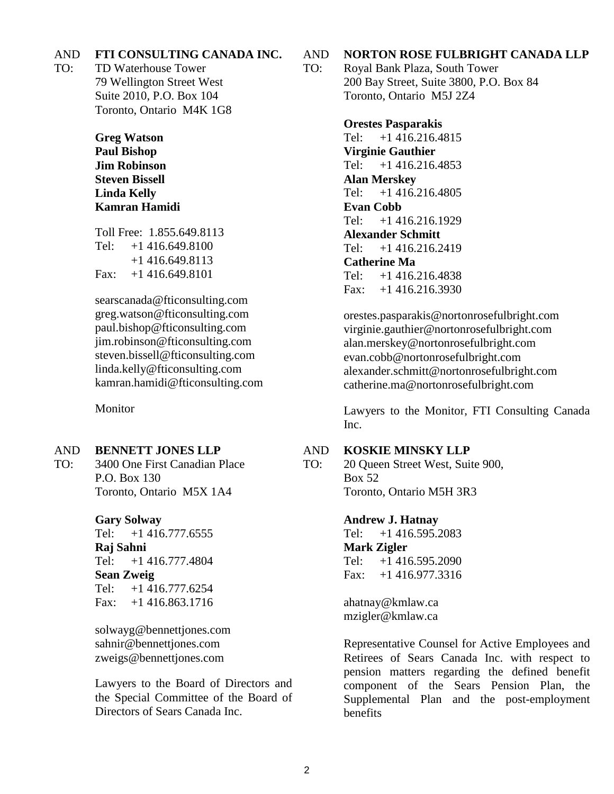### AND **FTI CONSULTING CANADA INC.**

TO: TD Waterhouse Tower 79 Wellington Street West Suite 2010, P.O. Box 104 Toronto, Ontario M4K 1G8

> **Greg Watson Paul Bishop Jim Robinson Steven Bissell Linda Kelly Kamran Hamidi**

Toll Free: 1.855.649.8113 Tel: +1 416.649.8100 +1 416.649.8113 Fax: +1 416.649.8101

searscanada@fticonsulting.com greg.watson@fticonsulting.com paul.bishop@fticonsulting.com jim.robinson@fticonsulting.com steven.bissell@fticonsulting.com linda.kelly@fticonsulting.com kamran.hamidi@fticonsulting.com

Monitor

#### AND **BENNETT JONES LLP**

TO: 3400 One First Canadian Place P.O. Box 130 Toronto, Ontario M5X 1A4

**Gary Solway**

Tel: +1 416.777.6555 **Raj Sahni** Tel: +1 416.777.4804 **Sean Zweig** Tel: +1 416.777.6254 Fax: +1 416.863.1716

solwayg@bennettjones.com sahnir@bennettjones.com zweigs@bennettjones.com

Lawyers to the Board of Directors and the Special Committee of the Board of Directors of Sears Canada Inc.

AND **NORTON ROSE FULBRIGHT CANADA LLP** 

TO: Royal Bank Plaza, South Tower 200 Bay Street, Suite 3800, P.O. Box 84 Toronto, Ontario M5J 2Z4

### **Orestes Pasparakis**

Tel: +1 416.216.4815 **Virginie Gauthier** Tel: +1 416.216.4853 **Alan Merskey** Tel: +1 416.216.4805 **Evan Cobb** Tel: +1 416.216.1929 **Alexander Schmitt** Tel: +1 416.216.2419 **Catherine Ma** Tel: +1 416.216.4838 Fax: +1 416.216.3930

orestes.pasparakis@nortonrosefulbright.com virginie.gauthier@nortonrosefulbright.com alan.merskey@nortonrosefulbright.com evan.cobb@nortonrosefulbright.com alexander.schmitt@nortonrosefulbright.com catherine.ma@nortonrosefulbright.com

Lawyers to the Monitor, FTI Consulting Canada Inc.

#### AND **KOSKIE MINSKY LLP**

TO: 20 Queen Street West, Suite 900, Box 52 Toronto, Ontario M5H 3R3

### **Andrew J. Hatnay**

Tel: +1 416.595.2083 **Mark Zigler** Tel: +1 416.595.2090 Fax: +1 416.977.3316

ahatnay@kmlaw.ca mzigler@kmlaw.ca

Representative Counsel for Active Employees and Retirees of Sears Canada Inc. with respect to pension matters regarding the defined benefit component of the Sears Pension Plan, the Supplemental Plan and the post-employment benefits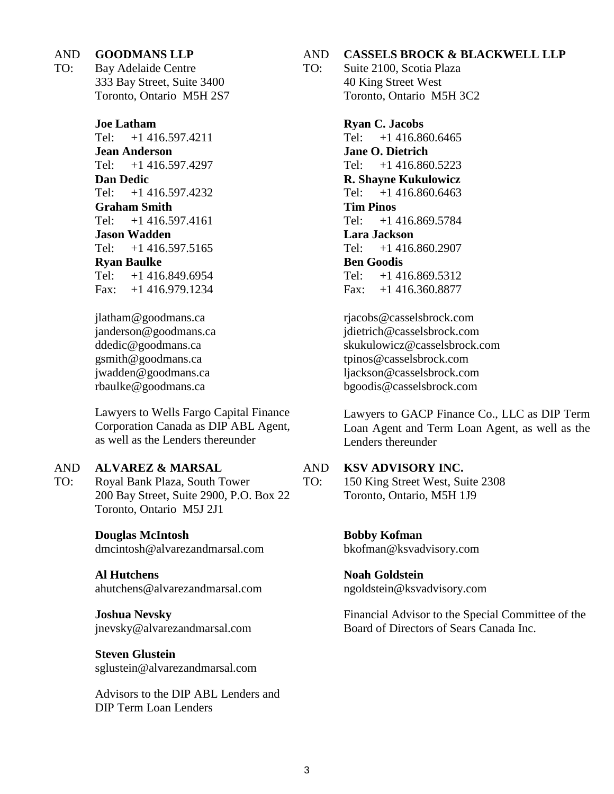### AND **GOODMANS LLP**

TO: Bay Adelaide Centre 333 Bay Street, Suite 3400 Toronto, Ontario M5H 2S7

### **Joe Latham**

Tel: +1 416.597.4211 **Jean Anderson** Tel: +1 416.597.4297 **Dan Dedic** Tel: +1 416.597.4232 **Graham Smith** Tel: +1 416.597.4161 **Jason Wadden** Tel: +1 416.597.5165 **Ryan Baulke** Tel: +1 416.849.6954 Fax: +1 416.979.1234

jlatham@goodmans.ca janderson@goodmans.ca ddedic@goodmans.ca gsmith@goodmans.ca jwadden@goodmans.ca rbaulke@goodmans.ca

Lawyers to Wells Fargo Capital Finance Corporation Canada as DIP ABL Agent, as well as the Lenders thereunder

### AND **ALVAREZ & MARSAL**

TO: Royal Bank Plaza, South Tower 200 Bay Street, Suite 2900, P.O. Box 22 Toronto, Ontario M5J 2J1

### **Douglas McIntosh**

dmcintosh@alvarezandmarsal.com

## **Al Hutchens**

ahutchens@alvarezandmarsal.com

**Joshua Nevsky** jnevsky@alvarezandmarsal.com

**Steven Glustein** sglustein@alvarezandmarsal.com

Advisors to the DIP ABL Lenders and DIP Term Loan Lenders

### AND **CASSELS BROCK & BLACKWELL LLP**

TO: Suite 2100, Scotia Plaza 40 King Street West Toronto, Ontario M5H 3C2

> **Ryan C. Jacobs** Tel: +1 416.860.6465 **Jane O. Dietrich** Tel: +1 416.860.5223 **R. Shayne Kukulowicz** Tel: +1 416.860.6463 **Tim Pinos** Tel: +1 416.869.5784 **Lara Jackson** Tel: +1 416.860.2907 **Ben Goodis** Tel: +1 416.869.5312 Fax: +1 416.360.8877

rjacobs@casselsbrock.com jdietrich@casselsbrock.com skukulowicz@casselsbrock.com tpinos@casselsbrock.com ljackson@casselsbrock.com bgoodis@casselsbrock.com

Lawyers to GACP Finance Co., LLC as DIP Term Loan Agent and Term Loan Agent, as well as the Lenders thereunder

#### AND **KSV ADVISORY INC.**

TO: 150 King Street West, Suite 2308 Toronto, Ontario, M5H 1J9

> **Bobby Kofman** bkofman@ksvadvisory.com

## **Noah Goldstein**

ngoldstein@ksvadvisory.com

Financial Advisor to the Special Committee of the Board of Directors of Sears Canada Inc.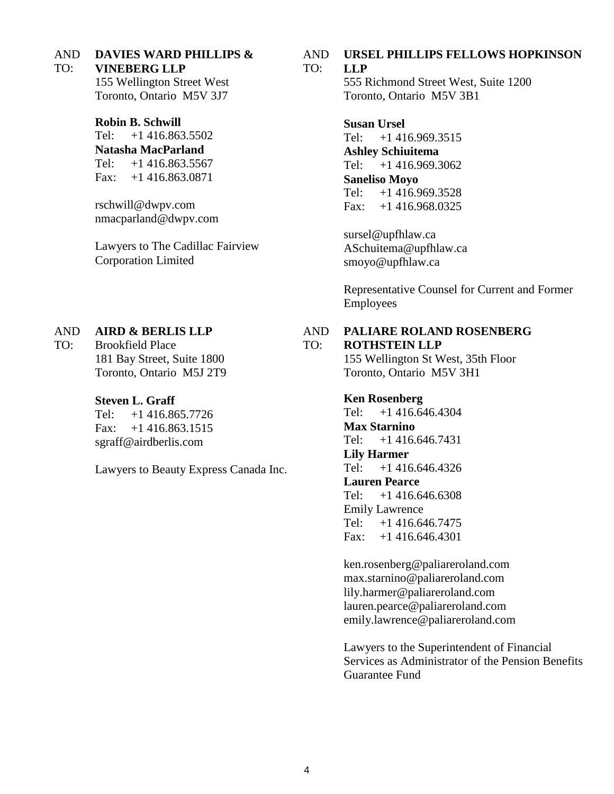AND **DAVIES WARD PHILLIPS &** 

### TO: **VINEBERG LLP**

155 Wellington Street West Toronto, Ontario M5V 3J7

**Robin B. Schwill** Tel:  $+1416.863.5502$ **Natasha MacParland** Tel: +1 416.863.5567 Fax: +1 416.863.0871

rschwill@dwpv.com nmacparland@dwpv.com

Lawyers to The Cadillac Fairview Corporation Limited

### AND **AIRD & BERLIS LLP**

TO: Brookfield Place 181 Bay Street, Suite 1800 Toronto, Ontario M5J 2T9

## **Steven L. Graff**

Tel: +1 416.865.7726 Fax: +1 416.863.1515 sgraff@airdberlis.com

Lawyers to Beauty Express Canada Inc.

#### AND TO: **URSEL PHILLIPS FELLOWS HOPKINSON LLP**

555 Richmond Street West, Suite 1200 Toronto, Ontario M5V 3B1

**Susan Ursel** Tel: +1 416.969.3515 **Ashley Schiuitema** Tel: +1 416.969.3062 **Saneliso Moyo** Tel: +1 416.969.3528 Fax: +1 416.968.0325

sursel@upfhlaw.ca ASchuitema@upfhlaw.ca smoyo@upfhlaw.ca

Representative Counsel for Current and Former Employees

### AND **PALIARE ROLAND ROSENBERG**

### TO: **ROTHSTEIN LLP**

155 Wellington St West, 35th Floor Toronto, Ontario M5V 3H1

**Ken Rosenberg** Tel: +1 416.646.4304 **Max Starnino** Tel: +1 416.646.7431 **Lily Harmer** Tel: +1 416.646.4326

**Lauren Pearce**

Tel: +1 416.646.6308 Emily Lawrence Tel: +1 416.646.7475 Fax: +1 416.646.4301

ken.rosenberg@paliareroland.com max.starnino@paliareroland.com lily.harmer@paliareroland.com lauren.pearce@paliareroland.com emily.lawrence@paliareroland.com

Lawyers to the Superintendent of Financial Services as Administrator of the Pension Benefits Guarantee Fund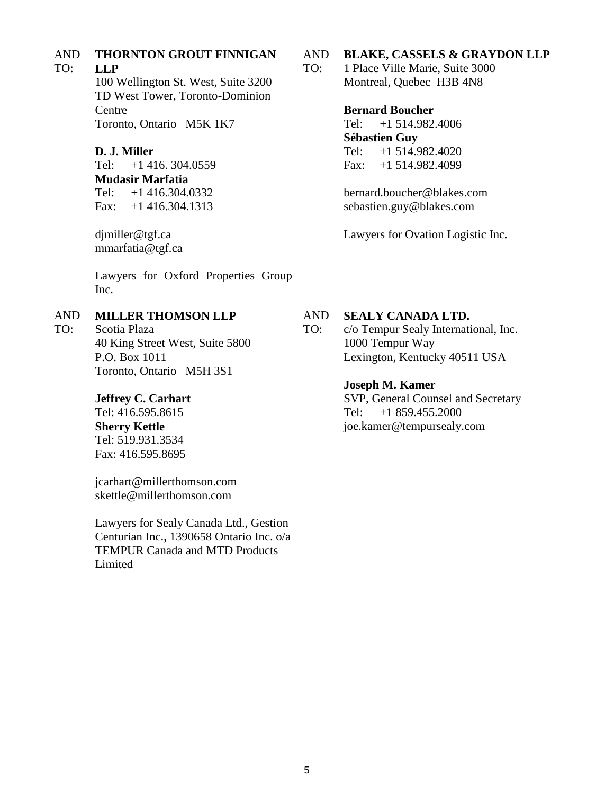### AND **THORNTON GROUT FINNIGAN**

### TO: **LLP**

TO:

100 Wellington St. West, Suite 3200 TD West Tower, Toronto-Dominion Centre Toronto, Ontario M5K 1K7

## **D. J. Miller**

Tel: +1 416. 304.0559 **Mudasir Marfatia** Tel: +1 416.304.0332 Fax: +1 416.304.1313

djmiller@tgf.ca mmarfatia@tgf.ca

Lawyers for Oxford Properties Group Inc.

### AND **MILLER THOMSON LLP**

Scotia Plaza 40 King Street West, Suite 5800 P.O. Box 1011 Toronto, Ontario M5H 3S1

## **Jeffrey C. Carhart**

Tel: 416.595.8615 **Sherry Kettle** Tel: 519.931.3534 Fax: 416.595.8695

jcarhart@millerthomson.com skettle@millerthomson.com

Lawyers for Sealy Canada Ltd., Gestion Centurian Inc., 1390658 Ontario Inc. o/a TEMPUR Canada and MTD Products **Limited** 

### AND **BLAKE, CASSELS & GRAYDON LLP**

TO: 1 Place Ville Marie, Suite 3000 Montreal, Quebec H3B 4N8

## **Bernard Boucher**

Tel: +1 514.982.4006 **Sébastien Guy** Tel: +1 514.982.4020 Fax: +1 514.982.4099

bernard.boucher@blakes.com sebastien.guy@blakes.com

Lawyers for Ovation Logistic Inc.

### AND **SEALY CANADA LTD.**

TO: c/o Tempur Sealy International, Inc. 1000 Tempur Way Lexington, Kentucky 40511 USA

## **Joseph M. Kamer**

SVP, General Counsel and Secretary Tel: +1 859.455.2000 joe.kamer@tempursealy.com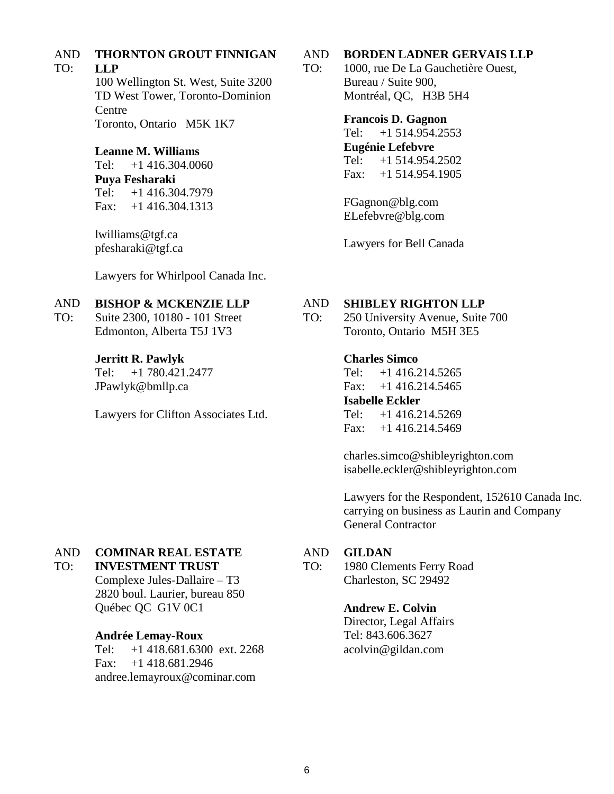### AND **THORNTON GROUT FINNIGAN**

### TO: **LLP**

100 Wellington St. West, Suite 3200 TD West Tower, Toronto-Dominion Centre Toronto, Ontario M5K 1K7

## **Leanne M. Williams**

Tel: +1 416.304.0060 **Puya Fesharaki** Tel: +1 416.304.7979 Fax: +1 416.304.1313

lwilliams@tgf.ca pfesharaki@tgf.ca

Lawyers for Whirlpool Canada Inc.

### AND **BISHOP & MCKENZIE LLP**

TO: Suite 2300, 10180 - 101 Street Edmonton, Alberta T5J 1V3

## **Jerritt R. Pawlyk**

Tel: +1 780.421.2477 JPawlyk@bmllp.ca

Lawyers for Clifton Associates Ltd.

### AND **BORDEN LADNER GERVAIS LLP**

TO: 1000, rue De La Gauchetière Ouest, Bureau / Suite 900, Montréal, QC, H3B 5H4

### **Francois D. Gagnon**

Tel: +1 514.954.2553 **Eugénie Lefebvre** Tel: +1 514.954.2502 Fax: +1 514.954.1905

FGagnon@blg.com ELefebvre@blg.com

Lawyers for Bell Canada

### AND **SHIBLEY RIGHTON LLP**

TO: 250 University Avenue, Suite 700 Toronto, Ontario M5H 3E5

## **Charles Simco**

Tel: +1 416.214.5265 Fax:  $+1$  416.214.5465 **Isabelle Eckler**  Tel: +1 416.214.5269 Fax:  $+1$  416.214.5469

charles.simco@shibleyrighton.com isabelle.eckler@shibleyrighton.com

Lawyers for the Respondent, 152610 Canada Inc. carrying on business as Laurin and Company General Contractor

### AND **COMINAR REAL ESTATE**

### TO: **INVESTMENT TRUST**

Complexe Jules-Dallaire – T3 2820 boul. Laurier, bureau 850 Québec QC G1V 0C1

## **Andrée Lemay-Roux**

Tel: +1 418.681.6300 ext. 2268 Fax: +1 418.681.2946 andree.lemayroux@cominar.com

#### AND **GILDAN**

TO: 1980 Clements Ferry Road Charleston, SC 29492

## **Andrew E. Colvin**

Director, Legal Affairs Tel: 843.606.3627 acolvin@gildan.com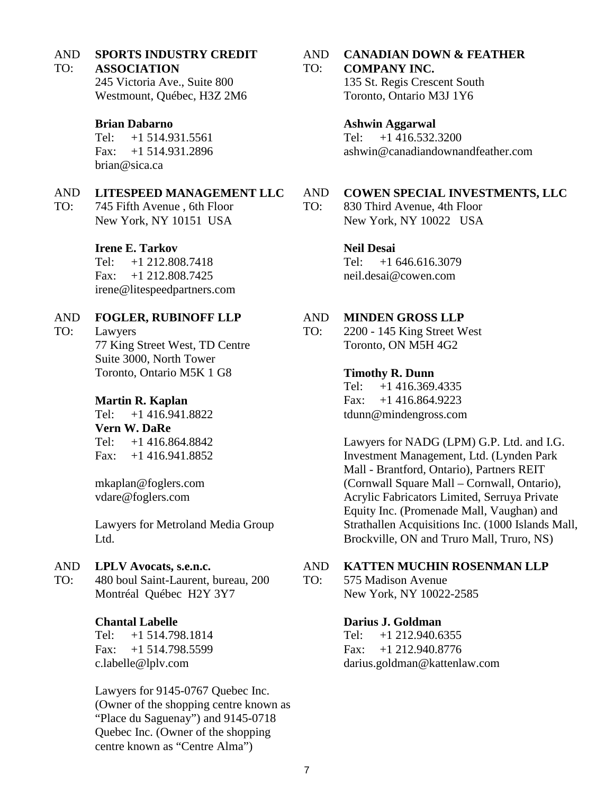#### AND TO: **SPORTS INDUSTRY CREDIT ASSOCIATION**

245 Victoria Ave., Suite 800 Westmount, Québec, H3Z 2M6

## **Brian Dabarno**

Tel: +1 514.931.5561 Fax: +1 514.931.2896 brian@sica.ca

### AND **LITESPEED MANAGEMENT LLC**

TO: 745 Fifth Avenue , 6th Floor New York, NY 10151 USA

## **Irene E. Tarkov**

Tel: +1 212.808.7418 Fax: +1 212.808.7425 irene@litespeedpartners.com

### AND **FOGLER, RUBINOFF LLP**

TO:

Lawyers 77 King Street West, TD Centre Suite 3000, North Tower Toronto, Ontario M5K 1 G8

## **Martin R. Kaplan**

Tel: +1 416.941.8822 **Vern W. DaRe**  Tel: +1 416.864.8842 Fax: +1 416.941.8852

mkaplan@foglers.com vdare@foglers.com

Lawyers for Metroland Media Group Ltd.

### AND **LPLV Avocats, s.e.n.c.**

TO: 480 boul Saint-Laurent, bureau, 200 Montréal Québec H2Y 3Y7

## **Chantal Labelle**

Tel: +1 514.798.1814 Fax: +1 514.798.5599 c.labelle@lplv.com

Lawyers for 9145-0767 Quebec Inc. (Owner of the shopping centre known as "Place du Saguenay") and 9145-0718 Quebec Inc. (Owner of the shopping centre known as "Centre Alma")

### AND TO: **CANADIAN DOWN & FEATHER COMPANY INC.**

135 St. Regis Crescent South Toronto, Ontario M3J 1Y6

## **Ashwin Aggarwal**

Tel: +1 416.532.3200 ashwin@canadiandownandfeather.com

### AND **COWEN SPECIAL INVESTMENTS, LLC**

TO: 830 Third Avenue, 4th Floor New York, NY 10022 USA

## **Neil Desai**

Tel: +1 646.616.3079 neil.desai@cowen.com

### AND **MINDEN GROSS LLP**

TO: 2200 - 145 King Street West Toronto, ON M5H 4G2

## **Timothy R. Dunn**

Tel: +1 416.369.4335 Fax: +1 416.864.9223 tdunn@mindengross.com

Lawyers for NADG (LPM) G.P. Ltd. and I.G. Investment Management, Ltd. (Lynden Park Mall - Brantford, Ontario), Partners REIT (Cornwall Square Mall – Cornwall, Ontario), Acrylic Fabricators Limited, Serruya Private Equity Inc. (Promenade Mall, Vaughan) and Strathallen Acquisitions Inc. (1000 Islands Mall, Brockville, ON and Truro Mall, Truro, NS)

### AND **KATTEN MUCHIN ROSENMAN LLP**

TO: 575 Madison Avenue New York, NY 10022-2585

## **Darius J. Goldman**

Tel: +1 212.940.6355 Fax: +1 212.940.8776 darius.goldman@kattenlaw.com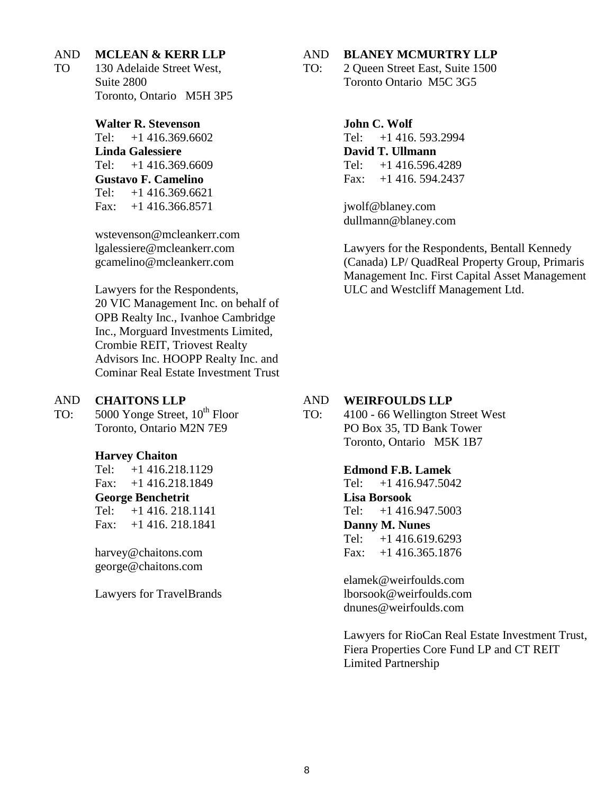### AND **MCLEAN & KERR LLP**

TO 130 Adelaide Street West, Suite 2800 Toronto, Ontario M5H 3P5

> **Walter R. Stevenson** Tel: +1 416.369.6602 **Linda Galessiere** Tel: +1 416.369.6609 **Gustavo F. Camelino** Tel: +1 416.369.6621 Fax:  $+1$  416.366.8571

wstevenson@mcleankerr.com lgalessiere@mcleankerr.com gcamelino@mcleankerr.com

Lawyers for the Respondents, 20 VIC Management Inc. on behalf of OPB Realty Inc., Ivanhoe Cambridge Inc., Morguard Investments Limited, Crombie REIT, Triovest Realty Advisors Inc. HOOPP Realty Inc. and Cominar Real Estate Investment Trust

### AND **CHAITONS LLP**

TO: 5000 Yonge Street,  $10^{\text{th}}$  Floor Toronto, Ontario M2N 7E9

### **Harvey Chaiton**

Tel: +1 416.218.1129 Fax: +1 416.218.1849 **George Benchetrit** Tel: +1 416. 218.1141 Fax: +1 416. 218.1841

harvey@chaitons.com george@chaitons.com

Lawyers for TravelBrands

#### AND **BLANEY MCMURTRY LLP**

TO: 2 Queen Street East, Suite 1500 Toronto Ontario M5C 3G5

> **John C. Wolf**  Tel: +1 416. 593.2994 **David T. Ullmann**  Tel: +1 416.596.4289 Fax: +1 416. 594.2437

jwolf@blaney.com dullmann@blaney.com

Lawyers for the Respondents, Bentall Kennedy (Canada) LP/ QuadReal Property Group, Primaris Management Inc. First Capital Asset Management ULC and Westcliff Management Ltd.

#### AND **WEIRFOULDS LLP**

TO: 4100 - 66 Wellington Street West PO Box 35, TD Bank Tower Toronto, Ontario M5K 1B7

## **Edmond F.B. Lamek**

Tel: +1 416.947.5042 **Lisa Borsook** Tel: +1 416.947.5003 **Danny M. Nunes** Tel: +1 416.619.6293 Fax: +1 416.365.1876

elamek@weirfoulds.com lborsook@weirfoulds.com dnunes@weirfoulds.com

Lawyers for RioCan Real Estate Investment Trust, Fiera Properties Core Fund LP and CT REIT Limited Partnership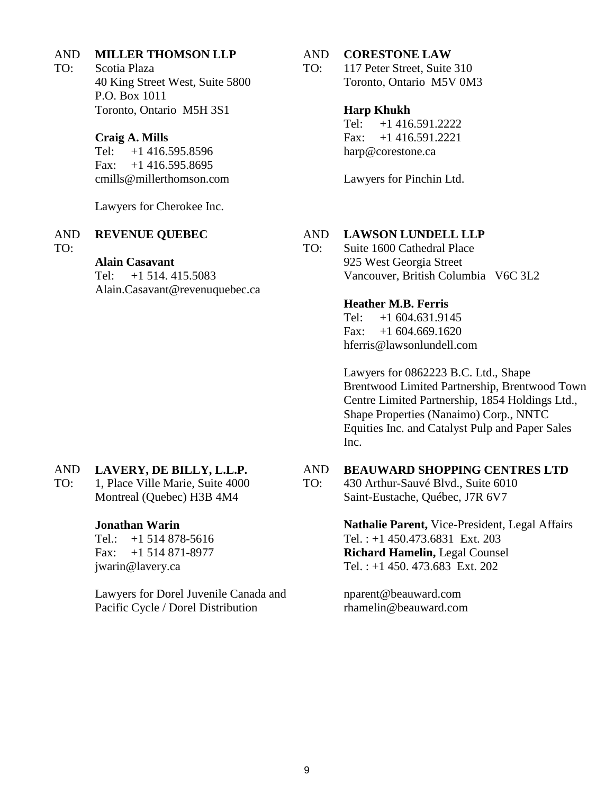### AND **MILLER THOMSON LLP**

TO: Scotia Plaza 40 King Street West, Suite 5800 P.O. Box 1011 Toronto, Ontario M5H 3S1

## **Craig A. Mills**

Tel: +1 416.595.8596 Fax:  $+1$  416.595.8695 cmills@millerthomson.com

Lawyers for Cherokee Inc.

### AND **REVENUE QUEBEC**

TO:

## **Alain Casavant**

Tel: +1 514. 415.5083 Alain.Casavant@revenuquebec.ca

### AND **CORESTONE LAW**

TO: 117 Peter Street, Suite 310 Toronto, Ontario M5V 0M3

## **Harp Khukh**

Tel: +1 416.591.2222 Fax: +1 416.591.2221 harp@corestone.ca

Lawyers for Pinchin Ltd.

### AND **LAWSON LUNDELL LLP**

TO:

AND

Suite 1600 Cathedral Place 925 West Georgia Street Vancouver, British Columbia V6C 3L2

## **Heather M.B. Ferris**

Tel: +1 604.631.9145 Fax:  $+1,604.669.1620$ hferris@lawsonlundell.com

Lawyers for 0862223 B.C. Ltd., Shape Brentwood Limited Partnership, Brentwood Town Centre Limited Partnership, 1854 Holdings Ltd., Shape Properties (Nanaimo) Corp., NNTC Equities Inc. and Catalyst Pulp and Paper Sales Inc.

### AND **LAVERY, DE BILLY, L.L.P.**

TO: 1, Place Ville Marie, Suite 4000 Montreal (Quebec) H3B 4M4

## **Jonathan Warin**

Tel.: +1 514 878-5616 Fax: +1 514 871-8977 jwarin@lavery.ca

Lawyers for Dorel Juvenile Canada and Pacific Cycle / Dorel Distribution

TO: 430 Arthur-Sauvé Blvd., Suite 6010 Saint-Eustache, Québec, J7R 6V7

> **Nathalie Parent,** Vice-President, Legal Affairs Tel. : +1 450.473.6831 Ext. 203 **Richard Hamelin,** Legal Counsel Tel. : +1 450. 473.683 Ext. 202

**BEAUWARD SHOPPING CENTRES LTD**

nparent@beauward.com rhamelin@beauward.com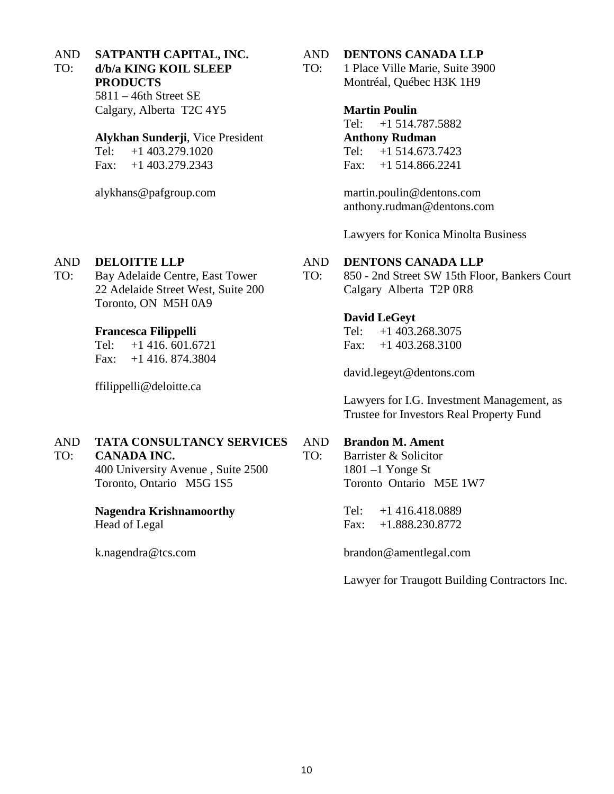AND TO: **SATPANTH CAPITAL, INC. d/b/a KING KOIL SLEEP** 

> **PRODUCTS** 5811 – 46th Street SE Calgary, Alberta T2C 4Y5

## **Alykhan Sunderji**, Vice President

Tel: +1 403.279.1020 Fax: +1 403.279.2343

alykhans@pafgroup.com

### AND **DELOITTE LLP**

TO: Bay Adelaide Centre, East Tower 22 Adelaide Street West, Suite 200 Toronto, ON M5H 0A9

## **Francesca Filippelli**

Tel: +1 416. 601.6721 Fax: +1 416. 874.3804

ffilippelli@deloitte.ca

### AND **TATA CONSULTANCY SERVICES**

#### TO: **CANADA INC.**

400 University Avenue , Suite 2500 Toronto, Ontario M5G 1S5

## **Nagendra Krishnamoorthy**

Head of Legal

k.nagendra@tcs.com

### AND **DENTONS CANADA LLP**

TO: 1 Place Ville Marie, Suite 3900 Montréal, Québec H3K 1H9

> **Martin Poulin** Tel: +1 514.787.5882 **Anthony Rudman** Tel: +1 514.673.7423 Fax: +1 514.866.2241

martin.poulin@dentons.com anthony.rudman@dentons.com

Lawyers for Konica Minolta Business

### AND **DENTONS CANADA LLP**

TO: 850 - 2nd Street SW 15th Floor, Bankers Court Calgary Alberta T2P 0R8

## **David LeGeyt**

Tel: +1 403.268.3075 Fax: +1 403.268.3100

david.legeyt@dentons.com

Lawyers for I.G. Investment Management, as Trustee for Investors Real Property Fund

### AND **Brandon M. Ament**

TO: Barrister & Solicitor 1801 –1 Yonge St Toronto Ontario M5E 1W7

> Tel: +1 416.418.0889 Fax: +1.888.230.8772

brandon@amentlegal.com

Lawyer for Traugott Building Contractors Inc.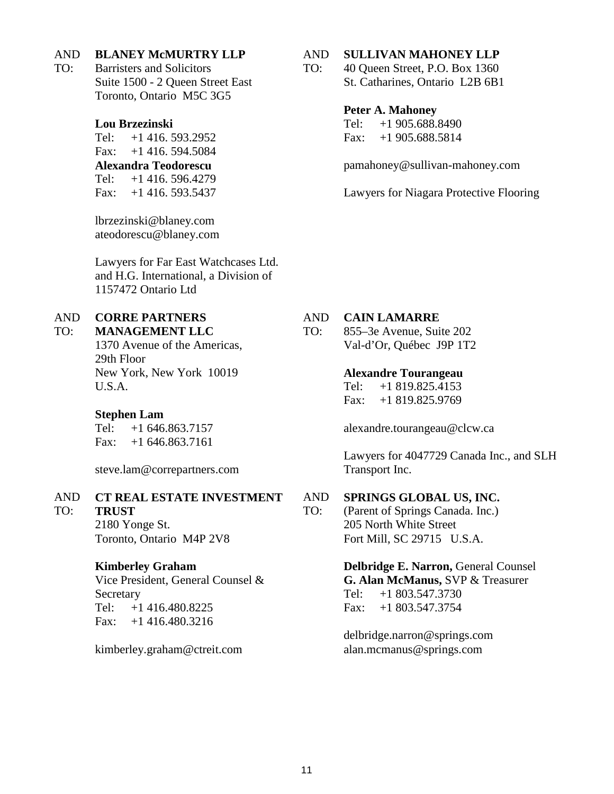### AND **BLANEY McMURTRY LLP**

TO: Barristers and Solicitors Suite 1500 - 2 Queen Street East Toronto, Ontario M5C 3G5

## **Lou Brzezinski**

Tel: +1 416. 593.2952 Fax:  $+1$  416. 594.5084 **Alexandra Teodorescu**  Tel: +1 416. 596.4279 Fax: +1 416. 593.5437

lbrzezinski@blaney.com ateodorescu@blaney.com

Lawyers for Far East Watchcases Ltd. and H.G. International, a Division of 1157472 Ontario Ltd

### AND **CORRE PARTNERS**

### TO: **MANAGEMENT LLC**

1370 Avenue of the Americas, 29th Floor New York, New York 10019 U.S.A.

## **Stephen Lam**

TO:

Tel: +1 646.863.7157 Fax:  $+1$  646.863.7161

steve.lam@correpartners.com

### AND **CT REAL ESTATE INVESTMENT**

**TRUST** 2180 Yonge St. Toronto, Ontario M4P 2V8

## **Kimberley Graham**

Vice President, General Counsel & Secretary Tel: +1 416.480.8225 Fax: +1 416.480.3216

kimberley.graham@ctreit.com

#### AND **SULLIVAN MAHONEY LLP**

TO: 40 Queen Street, P.O. Box 1360 St. Catharines, Ontario L2B 6B1

### **Peter A. Mahoney**

Tel: +1 905.688.8490 Fax: +1 905.688.5814

pamahoney@sullivan-mahoney.com

Lawyers for Niagara Protective Flooring

### AND **CAIN LAMARRE**

TO: 855–3e Avenue, Suite 202 Val-d'Or, Québec J9P 1T2

### **Alexandre Tourangeau**

Tel: +1 819.825.4153 Fax: +1 819.825.9769

alexandre.tourangeau@clcw.ca

Lawyers for 4047729 Canada Inc., and SLH Transport Inc.

### AND **SPRINGS GLOBAL US, INC.**

TO: (Parent of Springs Canada. Inc.) 205 North White Street Fort Mill, SC 29715 U.S.A.

> **Delbridge E. Narron, General Counsel G. Alan McManus,** SVP & Treasurer Tel: +1 803.547.3730 Fax: +1 803.547.3754

delbridge.narron@springs.com alan.mcmanus@springs.com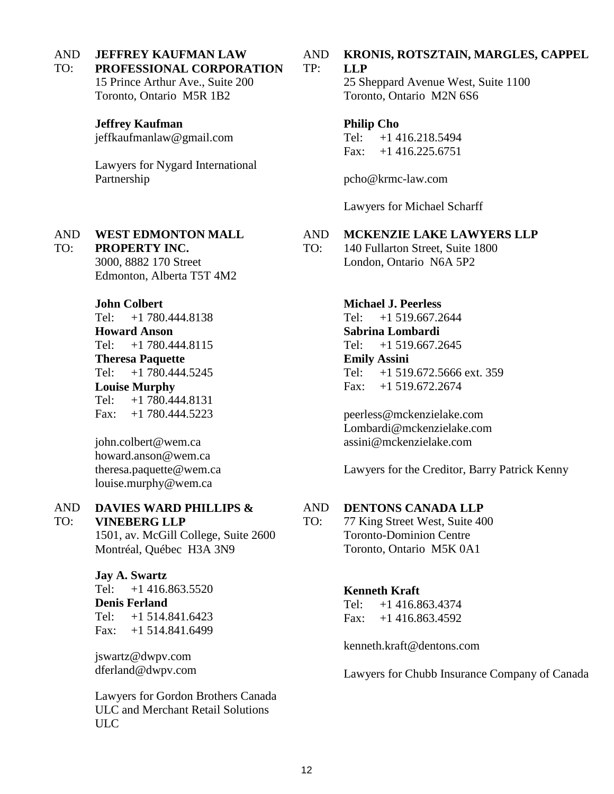### AND **JEFFREY KAUFMAN LAW**

### TO: **PROFESSIONAL CORPORATION**

15 Prince Arthur Ave., Suite 200 Toronto, Ontario M5R 1B2

## **Jeffrey Kaufman**

jeffkaufmanlaw@gmail.com

Lawyers for Nygard International Partnership

### AND TO: **WEST EDMONTON MALL**

**PROPERTY INC.**  3000, 8882 170 Street Edmonton, Alberta T5T 4M2

## **John Colbert**

Tel: +1 780.444.8138 **Howard Anson** Tel: +1 780.444.8115 **Theresa Paquette** Tel: +1 780.444.5245 **Louise Murphy** Tel: +1 780.444.8131 Fax: +1 780.444.5223

john.colbert@wem.ca howard.anson@wem.ca theresa.paquette@wem.ca louise.murphy@wem.ca

### AND TO: **DAVIES WARD PHILLIPS &**

**VINEBERG LLP**

1501, av. McGill College, Suite 2600 Montréal, Québec H3A 3N9

## **Jay A. Swartz**

Tel: +1 416.863.5520 **Denis Ferland** Tel: +1 514.841.6423 Fax: +1 514.841.6499

jswartz@dwpv.com dferland@dwpv.com

Lawyers for Gordon Brothers Canada ULC and Merchant Retail Solutions ULC

### AND **KRONIS, ROTSZTAIN, MARGLES, CAPPEL**

### TP: **LLP**

25 Sheppard Avenue West, Suite 1100 Toronto, Ontario M2N 6S6

## **Philip Cho**

Tel: +1 416.218.5494 Fax:  $+1$  416.225.6751

pcho@krmc-law.com

Lawyers for Michael Scharff

### AND **MCKENZIE LAKE LAWYERS LLP**

TO: 140 Fullarton Street, Suite 1800 London, Ontario N6A 5P2

## **Michael J. Peerless**

Tel: +1 519.667.2644 **Sabrina Lombardi**  Tel: +1 519.667.2645 **Emily Assini**  Tel: +1 519.672.5666 ext. 359 Fax: +1 519.672.2674

peerless@mckenzielake.com Lombardi@mckenzielake.com assini@mckenzielake.com

Lawyers for the Creditor, Barry Patrick Kenny

### AND **DENTONS CANADA LLP**

TO: 77 King Street West, Suite 400 Toronto-Dominion Centre Toronto, Ontario M5K 0A1

## **Kenneth Kraft**

Tel: +1 416.863.4374 Fax: +1 416.863.4592

kenneth.kraft@dentons.com

Lawyers for Chubb Insurance Company of Canada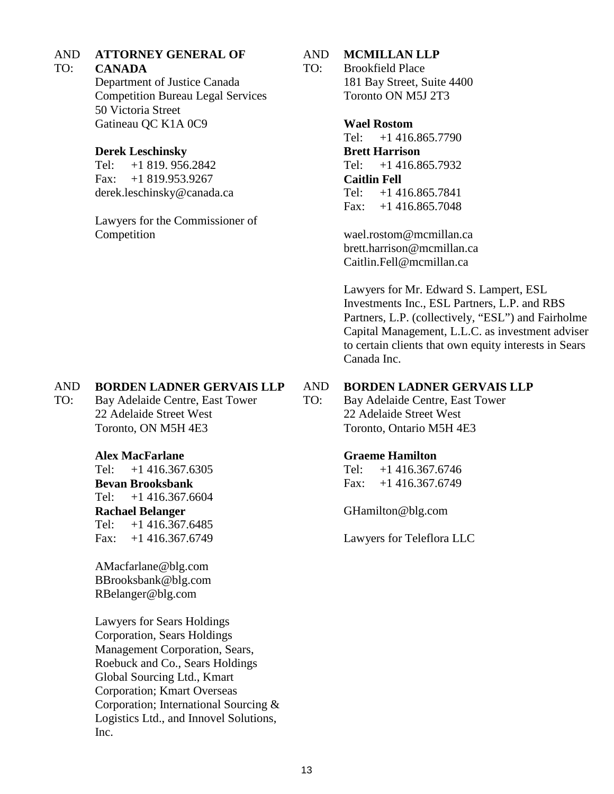### AND **ATTORNEY GENERAL OF**

### TO: **CANADA**

Department of Justice Canada Competition Bureau Legal Services 50 Victoria Street Gatineau QC K1A 0C9

## **Derek Leschinsky**

Tel: +1 819. 956.2842 Fax: +1 819.953.9267 derek.leschinsky@canada.ca

Lawyers for the Commissioner of Competition

### AND **MCMILLAN LLP**

TO: Brookfield Place 181 Bay Street, Suite 4400 Toronto ON M5J 2T3

## **Wael Rostom**

Tel: +1 416.865.7790 **Brett Harrison**  Tel: +1 416.865.7932 **Caitlin Fell** Tel: +1 416.865.7841 Fax:  $+1$  416.865.7048

wael.rostom@mcmillan.ca brett.harrison@mcmillan.ca Caitlin.Fell@mcmillan.ca

Lawyers for Mr. Edward S. Lampert, ESL Investments Inc., ESL Partners, L.P. and RBS Partners, L.P. (collectively, "ESL") and Fairholme Capital Management, L.L.C. as investment adviser to certain clients that own equity interests in Sears Canada Inc.

### AND **BORDEN LADNER GERVAIS LLP**

TO: Bay Adelaide Centre, East Tower 22 Adelaide Street West Toronto, ON M5H 4E3

## **Alex MacFarlane**

Tel: +1 416.367.6305 **Bevan Brooksbank**  Tel: +1 416.367.6604 **Rachael Belanger**  Tel: +1 416.367.6485 Fax: +1 416.367.6749

AMacfarlane@blg.com BBrooksbank@blg.com RBelanger@blg.com

Lawyers for Sears Holdings Corporation, Sears Holdings Management Corporation, Sears, Roebuck and Co., Sears Holdings Global Sourcing Ltd., Kmart Corporation; Kmart Overseas Corporation; International Sourcing & Logistics Ltd., and Innovel Solutions, Inc.

### AND **BORDEN LADNER GERVAIS LLP**

TO: Bay Adelaide Centre, East Tower 22 Adelaide Street West Toronto, Ontario M5H 4E3

## **Graeme Hamilton**

Tel: +1 416.367.6746 Fax: +1 416.367.6749

GHamilton@blg.com

Lawyers for Teleflora LLC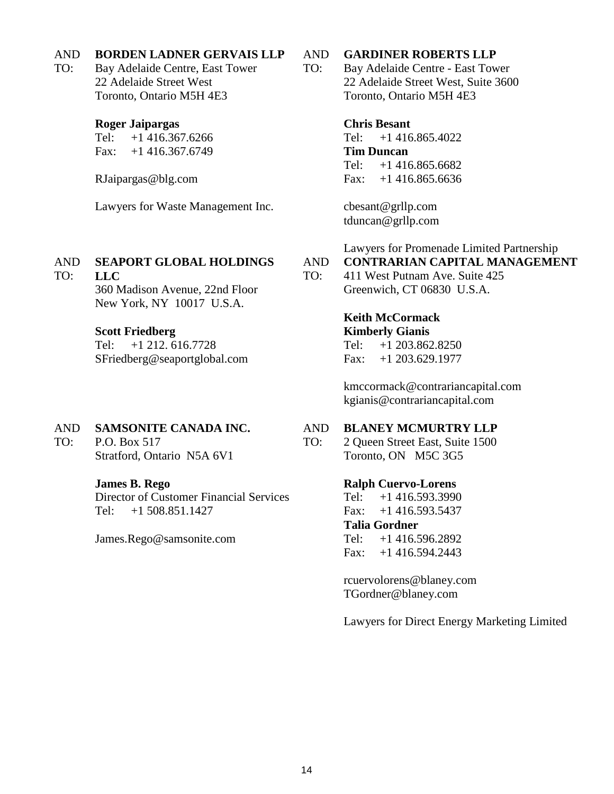### AND **BORDEN LADNER GERVAIS LLP**

TO: Bay Adelaide Centre, East Tower 22 Adelaide Street West Toronto, Ontario M5H 4E3

## **Roger Jaipargas**

Tel: +1 416.367.6266 Fax: +1 416.367.6749

RJaipargas@blg.com

Lawyers for Waste Management Inc.

### AND **SEAPORT GLOBAL HOLDINGS**

**LLC**  360 Madison Avenue, 22nd Floor New York, NY 10017 U.S.A.

## **Scott Friedberg**

TO:

Tel: +1 212. 616.7728 SFriedberg@seaportglobal.com

### AND **SAMSONITE CANADA INC.**

TO: P.O. Box 517 Stratford, Ontario N5A 6V1

## **James B. Rego**

Director of Customer Financial Services Tel: +1 508.851.1427

James.Rego@samsonite.com

### AND **GARDINER ROBERTS LLP**

TO: Bay Adelaide Centre - East Tower 22 Adelaide Street West, Suite 3600 Toronto, Ontario M5H 4E3

## **Chris Besant**

Tel: +1 416.865.4022 **Tim Duncan** Tel: +1 416.865.6682 Fax: +1 416.865.6636

cbesant@grllp.com tduncan@grllp.com

Lawyers for Promenade Limited Partnership

### AND **CONTRARIAN CAPITAL MANAGEMENT**

TO: 411 West Putnam Ave. Suite 425 Greenwich, CT 06830 U.S.A.

## **Keith McCormack Kimberly Gianis**

Tel: +1 203.862.8250 Fax: +1 203.629.1977

kmccormack@contrariancapital.com kgianis@contrariancapital.com

### AND **BLANEY MCMURTRY LLP**

TO: 2 Queen Street East, Suite 1500 Toronto, ON M5C 3G5

## **Ralph Cuervo-Lorens**

Tel: +1 416.593.3990 Fax:  $+1$  416.593.5437 **Talia Gordner**  Tel: +1 416.596.2892 Fax: +1 416.594.2443

rcuervolorens@blaney.com TGordner@blaney.com

Lawyers for Direct Energy Marketing Limited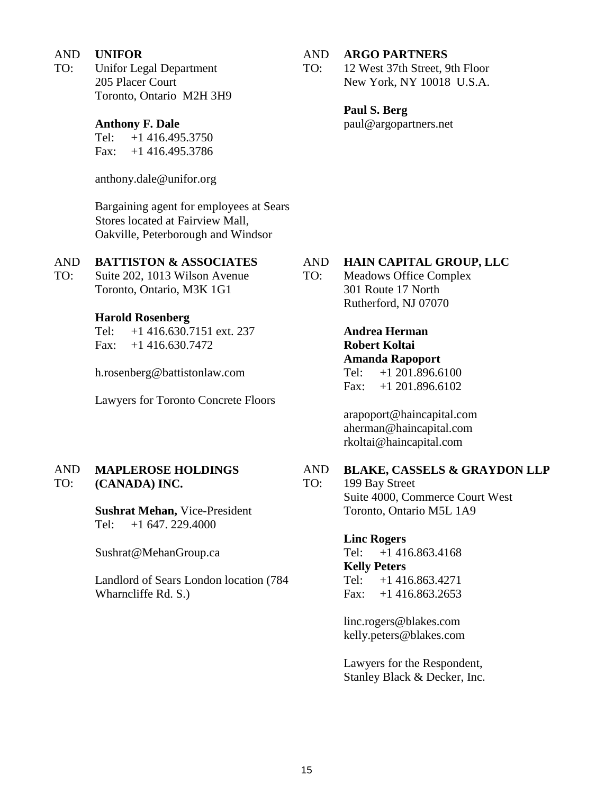### AND **UNIFOR**

TO: Unifor Legal Department 205 Placer Court Toronto, Ontario M2H 3H9

## **Anthony F. Dale**

Tel: +1 416.495.3750 Fax: +1 416.495.3786

anthony.dale@unifor.org

Bargaining agent for employees at Sears Stores located at Fairview Mall, Oakville, Peterborough and Windsor

### AND **BATTISTON & ASSOCIATES**

TO: Suite 202, 1013 Wilson Avenue Toronto, Ontario, M3K 1G1

## **Harold Rosenberg**

Tel: +1 416.630.7151 ext. 237 Fax: +1 416.630.7472

h.rosenberg@battistonlaw.com

Lawyers for Toronto Concrete Floors

### AND TO: **MAPLEROSE HOLDINGS (CANADA) INC.**

**Sushrat Mehan,** Vice-President Tel: +1 647. 229.4000

Sushrat@MehanGroup.ca

Landlord of Sears London location (784 Wharncliffe Rd. S.)

#### AND **ARGO PARTNERS**

TO: 12 West 37th Street, 9th Floor New York, NY 10018 U.S.A.

> **Paul S. Berg** paul@argopartners.net

### AND **HAIN CAPITAL GROUP, LLC**

TO: Meadows Office Complex 301 Route 17 North Rutherford, NJ 07070

> **Andrea Herman Robert Koltai Amanda Rapoport** Tel: +1 201.896.6100 Fax:  $+1$  201.896.6102

arapoport@haincapital.com aherman@haincapital.com rkoltai@haincapital.com

### AND **BLAKE, CASSELS & GRAYDON LLP**

199 Bay Street Suite 4000, Commerce Court West Toronto, Ontario M5L 1A9

## **Linc Rogers**

Tel: +1 416.863.4168 **Kelly Peters** Tel: +1 416.863.4271 Fax: +1 416.863.2653

linc.rogers@blakes.com kelly.peters@blakes.com

Lawyers for the Respondent, Stanley Black & Decker, Inc.

TO: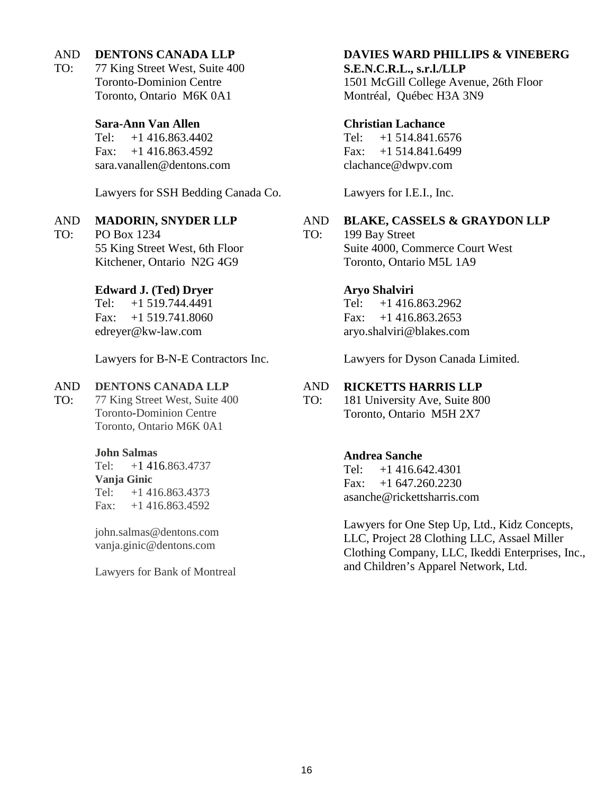### AND **DENTONS CANADA LLP**

TO: 77 King Street West, Suite 400 Toronto-Dominion Centre Toronto, Ontario M6K 0A1

## **Sara-Ann Van Allen**

Tel: +1 416.863.4402 Fax:  $+1$  416.863.4592 sara.vanallen@dentons.com

Lawyers for SSH Bedding Canada Co.

### AND **MADORIN, SNYDER LLP**

TO: PO Box 1234 55 King Street West, 6th Floor Kitchener, Ontario N2G 4G9

## **Edward J. (Ted) Dryer**

Tel: +1 519.744.4491 Fax: +1 519.741.8060 edreyer@kw-law.com

Lawyers for B-N-E Contractors Inc.

### AND **DENTONS CANADA LLP**

TO: 77 King Street West, Suite 400 Toronto-Dominion Centre Toronto, Ontario M6K 0A1

## **John Salmas**

Tel: +1 416.863.4737 **Vanja Ginic** Tel: +1 416.863.4373 Fax:  $+1$  416.863.4592

john.salmas@dentons.com vanja.ginic@dentons.com

Lawyers for Bank of Montreal

## **DAVIES WARD PHILLIPS & VINEBERG**

## **S.E.N.C.R.L., s.r.l./LLP**

1501 McGill College Avenue, 26th Floor Montréal, Québec H3A 3N9

## **Christian Lachance**

Tel: +1 514.841.6576 Fax: +1 514.841.6499 clachance@dwpv.com

Lawyers for I.E.I., Inc.

### AND **BLAKE, CASSELS & GRAYDON LLP**

TO: 199 Bay Street Suite 4000, Commerce Court West Toronto, Ontario M5L 1A9

# **Aryo Shalviri**

Tel: +1 416.863.2962 Fax:  $+1$  416.863.2653 aryo.shalviri@blakes.com

Lawyers for Dyson Canada Limited.

### AND **RICKETTS HARRIS LLP**

TO: 181 University Ave, Suite 800 Toronto, Ontario M5H 2X7

## **Andrea Sanche**

Tel: +1 416.642.4301 Fax:  $+1$  647.260.2230 asanche@rickettsharris.com

Lawyers for One Step Up, Ltd., Kidz Concepts, LLC, Project 28 Clothing LLC, Assael Miller Clothing Company, LLC, Ikeddi Enterprises, Inc., and Children's Apparel Network, Ltd.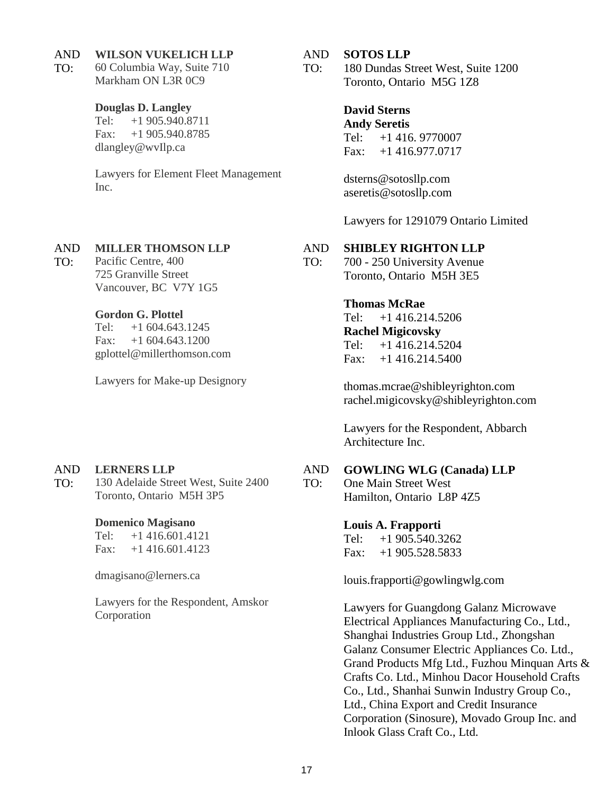#### AND **WILSON VUKELICH LLP**

TO: 60 Columbia Way, Suite 710 Markham ON L3R 0C9

### **Douglas D. Langley**

Tel: +1 905.940.8711 Fax: +1 905.940.8785 dlangley@wvIlp.ca

Lawyers for Element Fleet Management Inc.

### AND **MILLER THOMSON LLP**

TO: Pacific Centre, 400 725 Granville Street Vancouver, BC V7Y 1G5

## **Gordon G. Plottel**

Tel: +1 604.643.1245 Fax:  $+1,604.643.1200$ gplottel@millerthomson.com

Lawyers for Make-up Designory

### AND **LERNERS LLP**

TO: 130 Adelaide Street West, Suite 2400 Toronto, Ontario M5H 3P5

## **Domenico Magisano**

Tel: +1 416.601.4121 Fax:  $+1$  416.601.4123

dmagisano@lerners.ca

Lawyers for the Respondent, Amskor Corporation

### AND **SOTOS LLP**

TO: 180 Dundas Street West, Suite 1200 Toronto, Ontario M5G 1Z8

> **David Sterns Andy Seretis**  Tel: +1 416. 9770007 Fax: +1 416.977.0717

dsterns@sotosllp.com aseretis@sotosllp.com

Lawyers for 1291079 Ontario Limited

### AND **SHIBLEY RIGHTON LLP**

TO: 700 - 250 University Avenue Toronto, Ontario M5H 3E5

## **Thomas McRae**

Tel: +1 416.214.5206 **Rachel Migicovsky** Tel: +1 416.214.5204 Fax: +1 416.214.5400

thomas.mcrae@shibleyrighton.com rachel.migicovsky@shibleyrighton.com

Lawyers for the Respondent, Abbarch Architecture Inc.

### AND **GOWLING WLG (Canada) LLP**

TO: One Main Street West Hamilton, Ontario L8P 4Z5

## **Louis A. Frapporti**

Tel: +1 905.540.3262 Fax: +1 905.528.5833

louis.frapporti@gowlingwlg.com

Lawyers for Guangdong Galanz Microwave Electrical Appliances Manufacturing Co., Ltd., Shanghai Industries Group Ltd., Zhongshan Galanz Consumer Electric Appliances Co. Ltd., Grand Products Mfg Ltd., Fuzhou Minquan Arts & Crafts Co. Ltd., Minhou Dacor Household Crafts Co., Ltd., Shanhai Sunwin Industry Group Co., Ltd., China Export and Credit Insurance Corporation (Sinosure), Movado Group Inc. and Inlook Glass Craft Co., Ltd.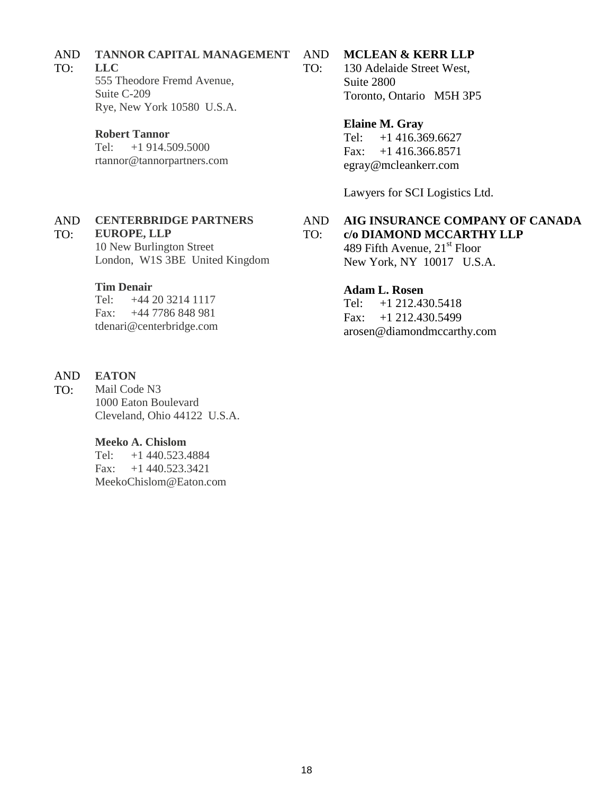#### AND **TANNOR CAPITAL MANAGEMENT**

#### TO: **LLC**

555 Theodore Fremd Avenue, Suite C-209 Rye, New York 10580 U.S.A.

## **Robert Tannor**

Tel: +1 914.509.5000 rtannor@tannorpartners.com

#### AND TO: **CENTERBRIDGE PARTNERS EUROPE, LLP**

10 New Burlington Street London, W1S 3BE United Kingdom

## **Tim Denair**

Tel: +44 20 3214 1117 Fax: +44 7786 848 981 tdenari@centerbridge.com

### AND **EATON**

TO: Mail Code N3 1000 Eaton Boulevard Cleveland, Ohio 44122 U.S.A.

## **Meeko A. Chislom**

Tel: +1 440.523.4884 Fax: +1 440.523.3421 MeekoChislom@Eaton.com

### AND **MCLEAN & KERR LLP**

TO: 130 Adelaide Street West, Suite 2800 Toronto, Ontario M5H 3P5

## **Elaine M. Gray**

Tel: +1 416.369.6627 Fax: +1 416.366.8571 egray@mcleankerr.com

Lawyers for SCI Logistics Ltd.

#### AND TO: **AIG INSURANCE COMPANY OF CANADA c/o DIAMOND MCCARTHY LLP**

489 Fifth Avenue,  $21<sup>st</sup>$  Floor New York, NY 10017 U.S.A.

## **Adam L. Rosen**

Tel: +1 212.430.5418 Fax: +1 212.430.5499 arosen@diamondmccarthy.com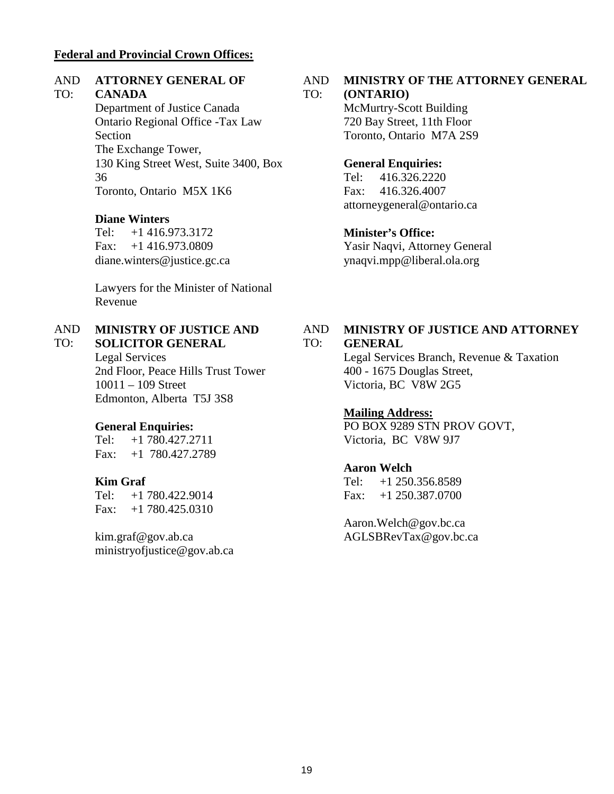## **Federal and Provincial Crown Offices:**

### AND **ATTORNEY GENERAL OF**

### TO: **CANADA**

Department of Justice Canada Ontario Regional Office -Tax Law Section The Exchange Tower, 130 King Street West, Suite 3400, Box 36 Toronto, Ontario M5X 1K6

## **Diane Winters**

Tel: +1 416.973.3172 Fax: +1 416.973.0809 diane.winters@justice.gc.ca

Lawyers for the Minister of National Revenue

### AND TO: **MINISTRY OF JUSTICE AND**

**SOLICITOR GENERAL** Legal Services 2nd Floor, Peace Hills Trust Tower 10011 – 109 Street Edmonton, Alberta T5J 3S8

## **General Enquiries:**

Tel: +1 780.427.2711 Fax: +1 780.427.2789

## **Kim Graf**

Tel: +1 780.422.9014 Fax: +1 780.425.0310

kim.graf@gov.ab.ca ministryofjustice@gov.ab.ca

### AND **MINISTRY OF THE ATTORNEY GENERAL**

#### TO: **(ONTARIO)**

McMurtry-Scott Building 720 Bay Street, 11th Floor Toronto, Ontario M7A 2S9

## **General Enquiries:**

Tel: 416.326.2220 Fax: 416.326.4007 attorneygeneral@ontario.ca

## **Minister's Office:**

Yasir Naqvi, Attorney General ynaqvi.mpp@liberal.ola.org

### AND TO: **MINISTRY OF JUSTICE AND ATTORNEY GENERAL**

Legal Services Branch, Revenue & Taxation 400 - 1675 Douglas Street, Victoria, BC V8W 2G5

## **Mailing Address:**

PO BOX 9289 STN PROV GOVT, Victoria, BC V8W 9J7

## **Aaron Welch**

Tel: +1 250.356.8589 Fax: +1 250.387.0700

Aaron.Welch@gov.bc.ca AGLSBRevTax@gov.bc.ca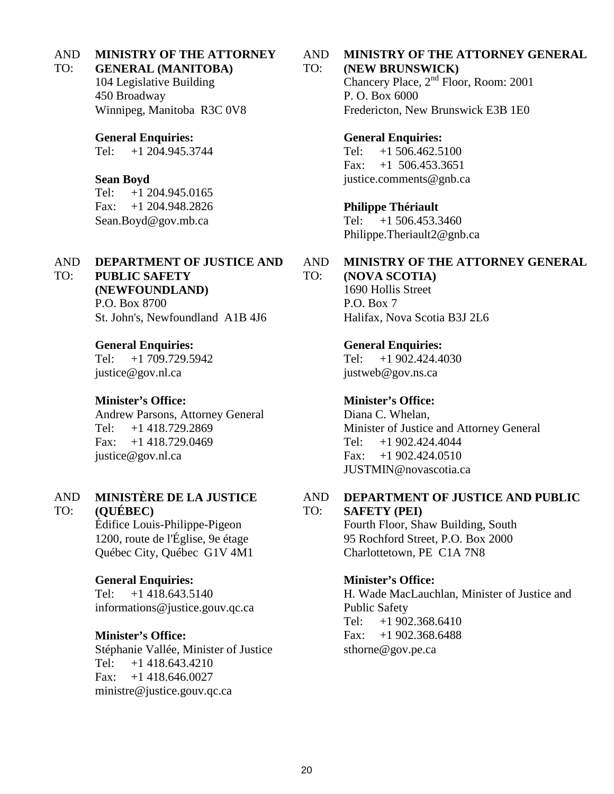### AND **MINISTRY OF THE ATTORNEY**

### TO: **GENERAL (MANITOBA)**

104 Legislative Building 450 Broadway Winnipeg, Manitoba R3C 0V8

## **General Enquiries:**

Tel: +1 204.945.3744

## **Sean Boyd**

Tel: +1 204.945.0165 Fax: +1 204.948.2826 Sean.Boyd@gov.mb.ca

### AND TO: **DEPARTMENT OF JUSTICE AND**

**PUBLIC SAFETY** 

**(NEWFOUNDLAND)**

P.O. Box 8700 St. John's, Newfoundland A1B 4J6

## **General Enquiries:**

Tel: +1 709.729.5942 justice@gov.nl.ca

### **Minister's Office:**

Andrew Parsons, Attorney General Tel: +1 418.729.2869 Fax: +1 418.729.0469 justice@gov.nl.ca

### AND **MINISTÈRE DE LA JUSTICE**

### TO: **(QUÉBEC)**

Édifice Louis-Philippe-Pigeon 1200, route de l'Église, 9e étage Québec City, Québec G1V 4M1

**General Enquiries:** Tel: +1 418.643.5140 informations@justice.gouv.qc.ca

## **Minister's Office:**

Stéphanie Vallée, Minister of Justice Tel: +1 418.643.4210 Fax: +1 418.646.0027 ministre@justice.gouv.qc.ca

### AND **MINISTRY OF THE ATTORNEY GENERAL**

### TO: **(NEW BRUNSWICK)**

Chancery Place, 2nd Floor, Room: 2001 P. O. Box 6000 Fredericton, New Brunswick E3B 1E0

### **General Enquiries:**

Tel: +1 506.462.5100 Fax: +1 506.453.3651 justice.comments@gnb.ca

## **Philippe Thériault**

Tel: +1 506.453.3460 Philippe.Theriault2@gnb.ca

### AND TO: **MINISTRY OF THE ATTORNEY GENERAL**

**(NOVA SCOTIA)** 1690 Hollis Street P.O. Box 7 Halifax, Nova Scotia B3J 2L6

**General Enquiries:**

Tel: +1 902.424.4030 justweb@gov.ns.ca

## **Minister's Office:**

Diana C. Whelan, Minister of Justice and Attorney General Tel: +1 902.424.4044  $Fax: +1902.424.0510$ JUSTMIN@novascotia.ca

#### AND TO: **DEPARTMENT OF JUSTICE AND PUBLIC SAFETY (PEI)**

Fourth Floor, Shaw Building, South 95 Rochford Street, P.O. Box 2000 Charlottetown, PE C1A 7N8

## **Minister's Office:**

H. Wade MacLauchlan, Minister of Justice and Public Safety Tel: +1 902.368.6410 Fax: +1 902.368.6488 sthorne@gov.pe.ca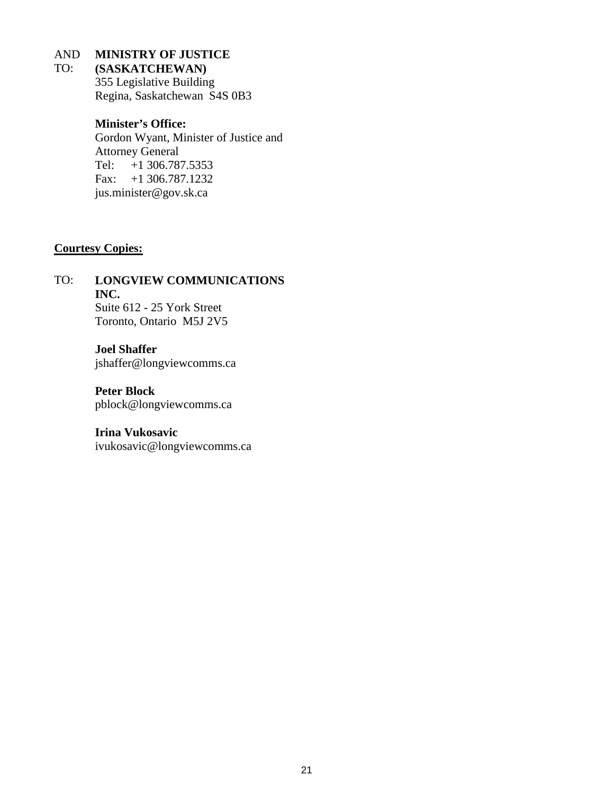### AND **MINISTRY OF JUSTICE**

### TO: **(SASKATCHEWAN)**

355 Legislative Building Regina, Saskatchewan S4S 0B3

## **Minister's Office:**

Gordon Wyant, Minister of Justice and Attorney General Tel: +1 306.787.5353 Fax: +1 306.787.1232 jus.minister@gov.sk.ca

## **Courtesy Copies:**

TO: **LONGVIEW COMMUNICATIONS INC.** Suite 612 - 25 York Street Toronto, Ontario M5J 2V5

> **Joel Shaffer** jshaffer@longviewcomms.ca

**Peter Block** pblock@longviewcomms.ca

## **Irina Vukosavic**

ivukosavic@longviewcomms.ca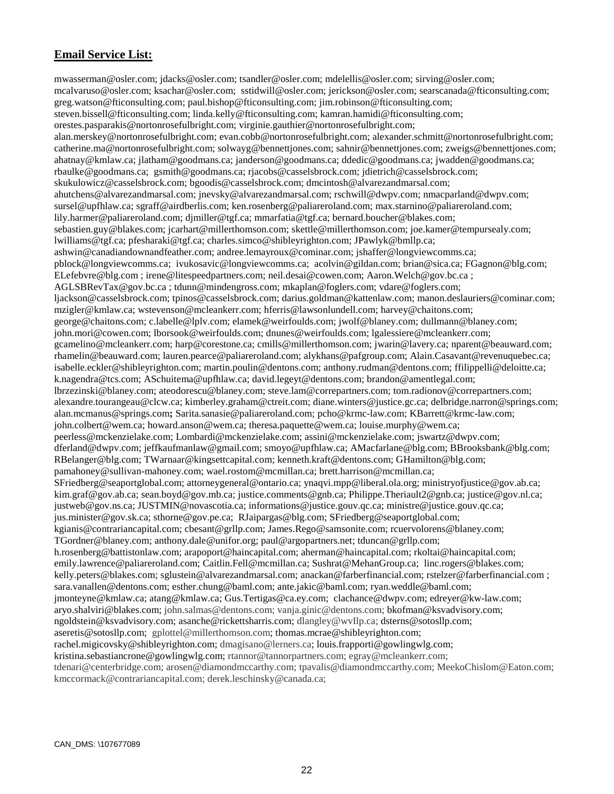## **Email Service List:**

mwasserman@osler.com; jdacks@osler.com; tsandler@osler.com; mdelellis@osler.com; sirving@osler.com; mcalvaruso@osler.com; ksachar@osler.com; sstidwill@osler.com; jerickson@osler.com; searscanada@fticonsulting.com; greg.watson@fticonsulting.com; paul.bishop@fticonsulting.com; jim.robinson@fticonsulting.com; steven.bissell@fticonsulting.com; linda.kelly@fticonsulting.com; kamran.hamidi@fticonsulting.com; orestes.pasparakis@nortonrosefulbright.com; virginie.gauthier@nortonrosefulbright.com; alan.merskey@nortonrosefulbright.com; evan.cobb@nortonrosefulbright.com; alexander.schmitt@nortonrosefulbright.com; catherine.ma@nortonrosefulbright.com; solwayg@bennettjones.com; sahnir@bennettjones.com; zweigs@bennettjones.com; ahatnay@kmlaw.ca; jlatham@goodmans.ca; janderson@goodmans.ca; ddedic@goodmans.ca; jwadden@goodmans.ca; rbaulke@goodmans.ca; gsmith@goodmans.ca; rjacobs@casselsbrock.com; jdietrich@casselsbrock.com; skukulowicz@casselsbrock.com; bgoodis@casselsbrock.com; dmcintosh@alvarezandmarsal.com; ahutchens@alvarezandmarsal.com; jnevsky@alvarezandmarsal.com; rschwill@dwpv.com; nmacparland@dwpv.com; sursel@upfhlaw.ca; sgraff@airdberlis.com; ken.rosenberg@paliareroland.com; max.starnino@paliareroland.com; lily.harmer@paliareroland.com; djmiller@tgf.ca; mmarfatia@tgf.ca; bernard.boucher@blakes.com; sebastien.guy@blakes.com; jcarhart@millerthomson.com; skettle@millerthomson.com; joe.kamer@tempursealy.com; lwilliams@tgf.ca; pfesharaki@tgf.ca; charles.simco@shibleyrighton.com; JPawlyk@bmllp.ca; ashwin@canadiandownandfeather.com; andree.lemayroux@cominar.com; jshaffer@longviewcomms.ca; pblock@longviewcomms.ca; ivukosavic@longviewcomms.ca; acolvin@gildan.com; brian@sica.ca; FGagnon@blg.com; ELefebvre@blg.com ; irene@litespeedpartners.com; neil.desai@cowen.com; Aaron.Welch@gov.bc.ca ; AGLSBRevTax@gov.bc.ca ; tdunn@mindengross.com; mkaplan@foglers.com; vdare@foglers.com; ljackson@casselsbrock.com; tpinos@casselsbrock.com; darius.goldman@kattenlaw.com; manon.deslauriers@cominar.com; mzigler@kmlaw.ca; wstevenson@mcleankerr.com; hferris@lawsonlundell.com; harvey@chaitons.com; george@chaitons.com; c.labelle@lplv.com; elamek@weirfoulds.com; jwolf@blaney.com; dullmann@blaney.com; john.mori@cowen.com; lborsook@weirfoulds.com; dnunes@weirfoulds.com; lgalessiere@mcleankerr.com; gcamelino@mcleankerr.com; harp@corestone.ca; cmills@millerthomson.com; jwarin@lavery.ca; nparent@beauward.com; rhamelin@beauward.com; lauren.pearce@paliareroland.com; alykhans@pafgroup.com; Alain.Casavant@revenuquebec.ca; isabelle.eckler@shibleyrighton.com; martin.poulin@dentons.com; anthony.rudman@dentons.com; ffilippelli@deloitte.ca; k.nagendra@tcs.com; ASchuitema@upfhlaw.ca; david.legeyt@dentons.com; brandon@amentlegal.com; lbrzezinski@blaney.com; ateodorescu@blaney.com; steve.lam@correpartners.com; tom.radionov@correpartners.com; alexandre.tourangeau@clcw.ca; kimberley.graham@ctreit.com; diane.winters@justice.gc.ca; delbridge.narron@springs.com; alan.mcmanus@springs.com**;** Sarita.sanasie@paliareroland.com; pcho@krmc-law.com; KBarrett@krmc-law.com; john.colbert@wem.ca; howard.anson@wem.ca; theresa.paquette@wem.ca; louise.murphy@wem.ca; peerless@mckenzielake.com; Lombardi@mckenzielake.com; assini@mckenzielake.com; jswartz@dwpv.com; dferland@dwpv.com; jeffkaufmanlaw@gmail.com; smoyo@upfhlaw.ca; AMacfarlane@blg.com; BBrooksbank@blg.com; RBelanger@blg.com; TWarnaar@kingsettcapital.com; kenneth.kraft@dentons.com; GHamilton@blg.com; pamahoney@sullivan-mahoney.com; wael.rostom@mcmillan.ca; brett.harrison@mcmillan.ca; SFriedberg@seaportglobal.com; attorneygeneral@ontario.ca; ynaqvi.mpp@liberal.ola.org; ministryofjustice@gov.ab.ca; kim.graf@gov.ab.ca; sean.boyd@gov.mb.ca; justice.comments@gnb.ca; Philippe.Theriault2@gnb.ca; justice@gov.nl.ca; justweb@gov.ns.ca; JUSTMIN@novascotia.ca; informations@justice.gouv.qc.ca; ministre@justice.gouv.qc.ca; jus.minister@gov.sk.ca; sthorne@gov.pe.ca; RJaipargas@blg.com; SFriedberg@seaportglobal.com; kgianis@contrariancapital.com; cbesant@grllp.com; James.Rego@samsonite.com; rcuervolorens@blaney.com; TGordner@blaney.com; anthony.dale@unifor.org; paul@argopartners.net; tduncan@grllp.com; h.rosenberg@battistonlaw.com; arapoport@haincapital.com; aherman@haincapital.com; rkoltai@haincapital.com; emily.lawrence@paliareroland.com; Caitlin.Fell@mcmillan.ca; Sushrat@MehanGroup.ca; linc.rogers@blakes.com; kelly.peters@blakes.com; sglustein@alvarezandmarsal.com; anackan@farberfinancial.com; rstelzer@farberfinancial.com ; sara.vanallen@dentons.com; esther.chung@baml.com; ante.jakic@baml.com; ryan.weddle@baml.com; jmonteyne@kmlaw.ca; atang@kmlaw.ca; Gus.Tertigas@ca.ey.com; clachance@dwpv.com; edreyer@kw-law.com; aryo.shalviri@blakes.com; john.salmas@dentons.com; vanja.ginic@dentons.com; bkofman@ksvadvisory.com; ngoldstein@ksvadvisory.com; asanche@rickettsharris.com; dlangley@wvIlp.ca; dsterns@sotosllp.com; aseretis@sotosllp.com; gplottel@millerthomson.com; thomas.mcrae@shibleyrighton.com; rachel.migicovsky@shibleyrighton.com; dmagisano@lerners.ca; louis.frapporti@gowlingwlg.com; kristina.sebastiancrone@gowlingwlg.com; rtannor@tannorpartners.com; egray@mcleankerr.com; tdenari@centerbridge.com; arosen@diamondmccarthy.com; tpavalis@diamondmccarthy.com; MeekoChislom@Eaton.com; kmccormack@contrariancapital.com; derek.leschinsky@canada.ca;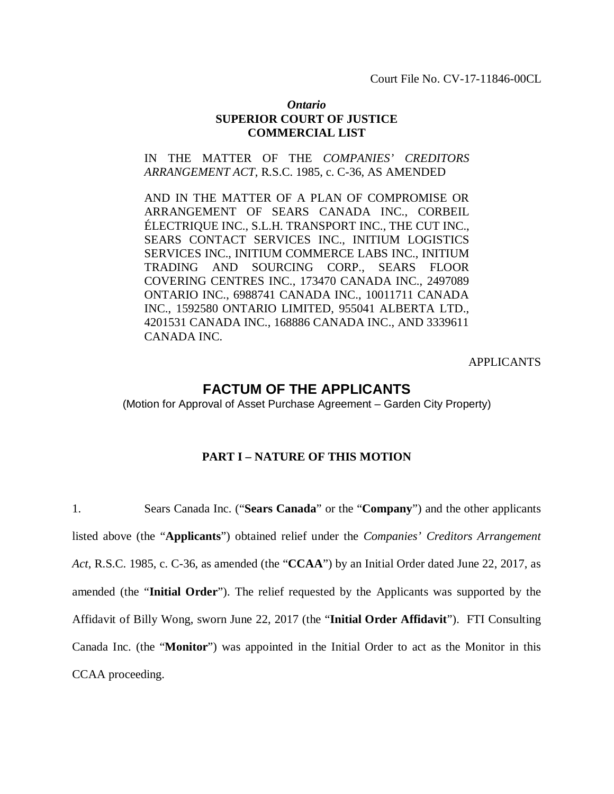Court File No. CV-17-11846-00CL

## *Ontario* **SUPERIOR COURT OF JUSTICE COMMERCIAL LIST**

## IN THE MATTER OF THE *COMPANIES' CREDITORS ARRANGEMENT ACT*, R.S.C. 1985, c. C-36, AS AMENDED

AND IN THE MATTER OF A PLAN OF COMPROMISE OR ARRANGEMENT OF SEARS CANADA INC., CORBEIL ÉLECTRIQUE INC., S.L.H. TRANSPORT INC., THE CUT INC., SEARS CONTACT SERVICES INC., INITIUM LOGISTICS SERVICES INC., INITIUM COMMERCE LABS INC., INITIUM TRADING AND SOURCING CORP., SEARS FLOOR COVERING CENTRES INC., 173470 CANADA INC., 2497089 ONTARIO INC., 6988741 CANADA INC., 10011711 CANADA INC., 1592580 ONTARIO LIMITED, 955041 ALBERTA LTD., 4201531 CANADA INC., 168886 CANADA INC., AND 3339611 CANADA INC.

APPLICANTS

## **FACTUM OF THE APPLICANTS**

(Motion for Approval of Asset Purchase Agreement – Garden City Property)

## **PART I – NATURE OF THIS MOTION**

1. Sears Canada Inc. ("**Sears Canada**" or the "**Company**") and the other applicants listed above (the "**Applicants**") obtained relief under the *Companies' Creditors Arrangement Act*, R.S.C. 1985, c. C-36, as amended (the "**CCAA**") by an Initial Order dated June 22, 2017, as amended (the "**Initial Order**"). The relief requested by the Applicants was supported by the Affidavit of Billy Wong, sworn June 22, 2017 (the "**Initial Order Affidavit**"). FTI Consulting Canada Inc. (the "**Monitor**") was appointed in the Initial Order to act as the Monitor in this CCAA proceeding.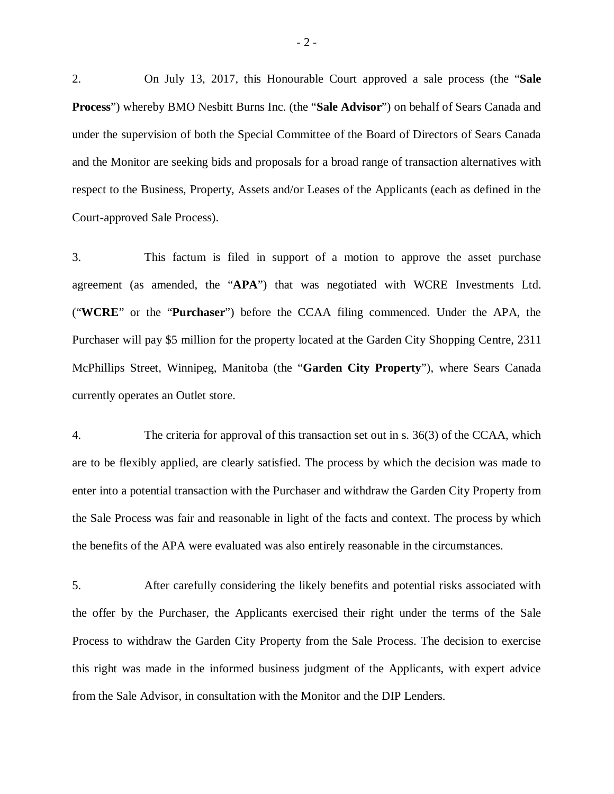2. On July 13, 2017, this Honourable Court approved a sale process (the "**Sale Process**") whereby BMO Nesbitt Burns Inc. (the "**Sale Advisor**") on behalf of Sears Canada and under the supervision of both the Special Committee of the Board of Directors of Sears Canada and the Monitor are seeking bids and proposals for a broad range of transaction alternatives with respect to the Business, Property, Assets and/or Leases of the Applicants (each as defined in the Court-approved Sale Process).

3. This factum is filed in support of a motion to approve the asset purchase agreement (as amended, the "**APA**") that was negotiated with WCRE Investments Ltd. ("**WCRE**" or the "**Purchaser**") before the CCAA filing commenced. Under the APA, the Purchaser will pay \$5 million for the property located at the Garden City Shopping Centre, 2311 McPhillips Street, Winnipeg, Manitoba (the "**Garden City Property**"), where Sears Canada currently operates an Outlet store.

4. The criteria for approval of this transaction set out in s. 36(3) of the CCAA, which are to be flexibly applied, are clearly satisfied. The process by which the decision was made to enter into a potential transaction with the Purchaser and withdraw the Garden City Property from the Sale Process was fair and reasonable in light of the facts and context. The process by which the benefits of the APA were evaluated was also entirely reasonable in the circumstances.

5. After carefully considering the likely benefits and potential risks associated with the offer by the Purchaser, the Applicants exercised their right under the terms of the Sale Process to withdraw the Garden City Property from the Sale Process. The decision to exercise this right was made in the informed business judgment of the Applicants, with expert advice from the Sale Advisor, in consultation with the Monitor and the DIP Lenders.

 $-2-$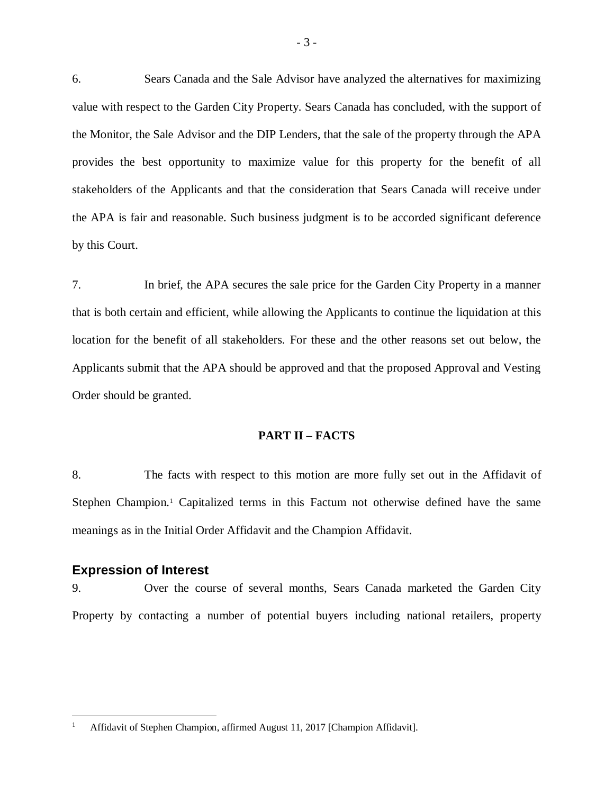6. Sears Canada and the Sale Advisor have analyzed the alternatives for maximizing value with respect to the Garden City Property. Sears Canada has concluded, with the support of the Monitor, the Sale Advisor and the DIP Lenders, that the sale of the property through the APA provides the best opportunity to maximize value for this property for the benefit of all stakeholders of the Applicants and that the consideration that Sears Canada will receive under the APA is fair and reasonable. Such business judgment is to be accorded significant deference by this Court.

7. In brief, the APA secures the sale price for the Garden City Property in a manner that is both certain and efficient, while allowing the Applicants to continue the liquidation at this location for the benefit of all stakeholders. For these and the other reasons set out below, the Applicants submit that the APA should be approved and that the proposed Approval and Vesting Order should be granted.

## **PART II – FACTS**

8. The facts with respect to this motion are more fully set out in the Affidavit of Stephen Champion.<sup>1</sup> Capitalized terms in this Factum not otherwise defined have the same meanings as in the Initial Order Affidavit and the Champion Affidavit.

### **Expression of Interest**

 $\overline{a}$ 

9. Over the course of several months, Sears Canada marketed the Garden City Property by contacting a number of potential buyers including national retailers, property

Affidavit of Stephen Champion, affirmed August 11, 2017 [Champion Affidavit].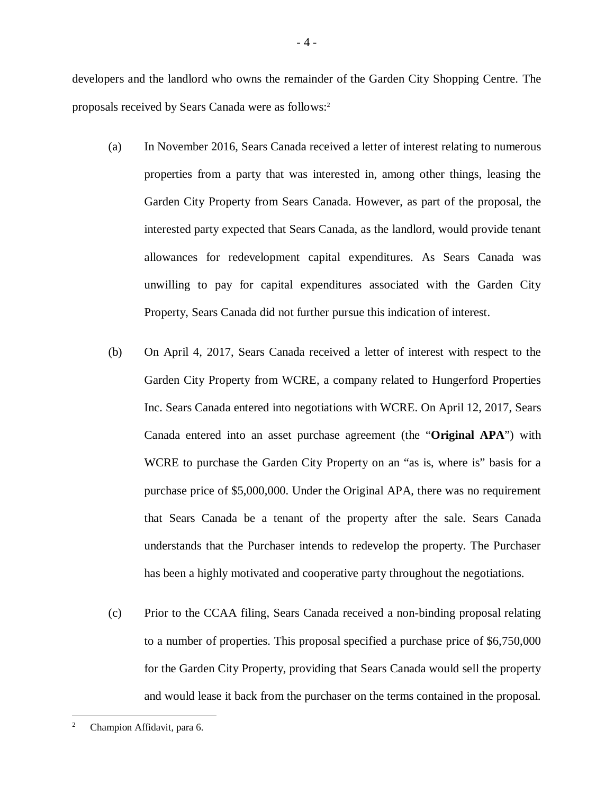developers and the landlord who owns the remainder of the Garden City Shopping Centre. The proposals received by Sears Canada were as follows:<sup>2</sup>

- (a) In November 2016, Sears Canada received a letter of interest relating to numerous properties from a party that was interested in, among other things, leasing the Garden City Property from Sears Canada. However, as part of the proposal, the interested party expected that Sears Canada, as the landlord, would provide tenant allowances for redevelopment capital expenditures. As Sears Canada was unwilling to pay for capital expenditures associated with the Garden City Property, Sears Canada did not further pursue this indication of interest.
- (b) On April 4, 2017, Sears Canada received a letter of interest with respect to the Garden City Property from WCRE, a company related to Hungerford Properties Inc. Sears Canada entered into negotiations with WCRE. On April 12, 2017, Sears Canada entered into an asset purchase agreement (the "**Original APA**") with WCRE to purchase the Garden City Property on an "as is, where is" basis for a purchase price of \$5,000,000. Under the Original APA, there was no requirement that Sears Canada be a tenant of the property after the sale. Sears Canada understands that the Purchaser intends to redevelop the property. The Purchaser has been a highly motivated and cooperative party throughout the negotiations.
- (c) Prior to the CCAA filing, Sears Canada received a non-binding proposal relating to a number of properties. This proposal specified a purchase price of \$6,750,000 for the Garden City Property, providing that Sears Canada would sell the property and would lease it back from the purchaser on the terms contained in the proposal.

Champion Affidavit, para 6.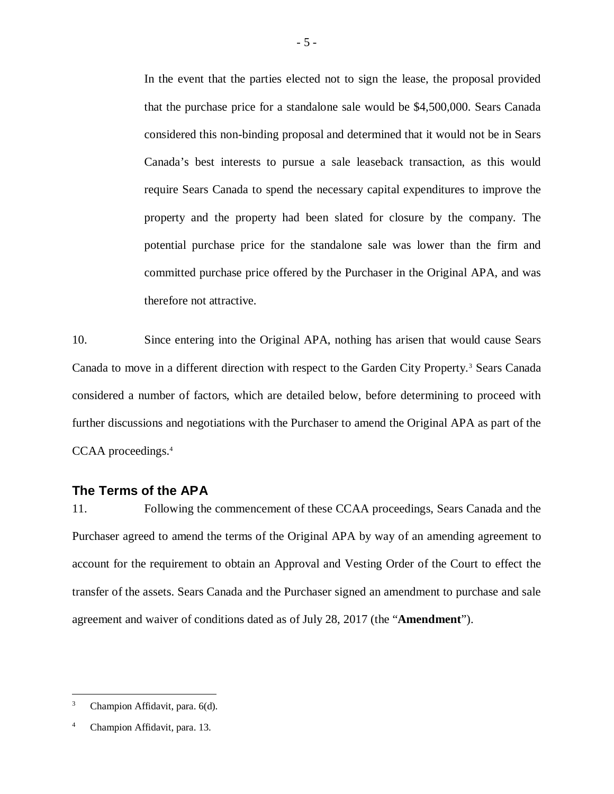In the event that the parties elected not to sign the lease, the proposal provided that the purchase price for a standalone sale would be \$4,500,000. Sears Canada considered this non-binding proposal and determined that it would not be in Sears Canada's best interests to pursue a sale leaseback transaction, as this would require Sears Canada to spend the necessary capital expenditures to improve the property and the property had been slated for closure by the company. The potential purchase price for the standalone sale was lower than the firm and committed purchase price offered by the Purchaser in the Original APA, and was therefore not attractive.

10. Since entering into the Original APA, nothing has arisen that would cause Sears Canada to move in a different direction with respect to the Garden City Property.<sup>3</sup> Sears Canada considered a number of factors, which are detailed below, before determining to proceed with further discussions and negotiations with the Purchaser to amend the Original APA as part of the CCAA proceedings.<sup>4</sup>

## **The Terms of the APA**

11. Following the commencement of these CCAA proceedings, Sears Canada and the Purchaser agreed to amend the terms of the Original APA by way of an amending agreement to account for the requirement to obtain an Approval and Vesting Order of the Court to effect the transfer of the assets. Sears Canada and the Purchaser signed an amendment to purchase and sale agreement and waiver of conditions dated as of July 28, 2017 (the "**Amendment**").

<sup>3</sup> Champion Affidavit, para. 6(d).

Champion Affidavit, para. 13.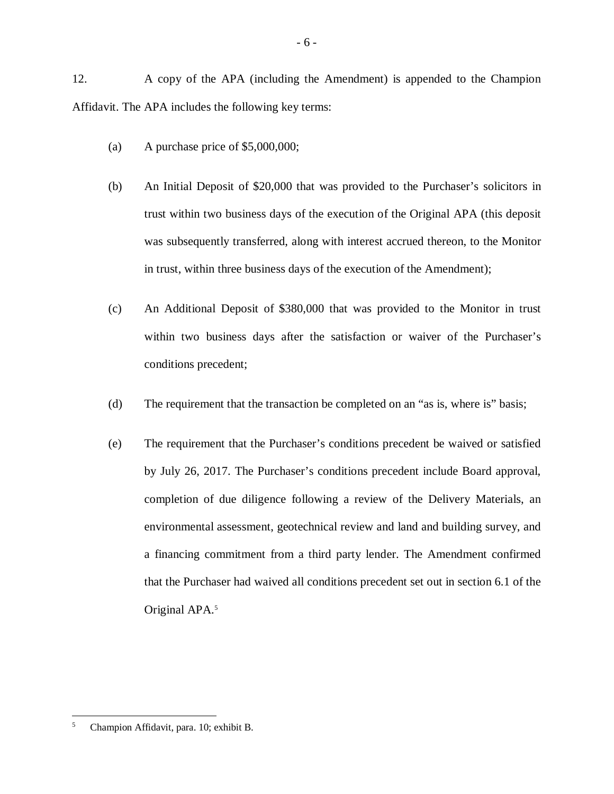12. A copy of the APA (including the Amendment) is appended to the Champion Affidavit. The APA includes the following key terms:

- (a) A purchase price of \$5,000,000;
- (b) An Initial Deposit of \$20,000 that was provided to the Purchaser's solicitors in trust within two business days of the execution of the Original APA (this deposit was subsequently transferred, along with interest accrued thereon, to the Monitor in trust, within three business days of the execution of the Amendment);
- (c) An Additional Deposit of \$380,000 that was provided to the Monitor in trust within two business days after the satisfaction or waiver of the Purchaser's conditions precedent;
- (d) The requirement that the transaction be completed on an "as is, where is" basis;
- (e) The requirement that the Purchaser's conditions precedent be waived or satisfied by July 26, 2017. The Purchaser's conditions precedent include Board approval, completion of due diligence following a review of the Delivery Materials, an environmental assessment, geotechnical review and land and building survey, and a financing commitment from a third party lender. The Amendment confirmed that the Purchaser had waived all conditions precedent set out in section 6.1 of the Original APA.<sup>5</sup>

 $\overline{a}$ <sup>5</sup> Champion Affidavit, para. 10; exhibit B.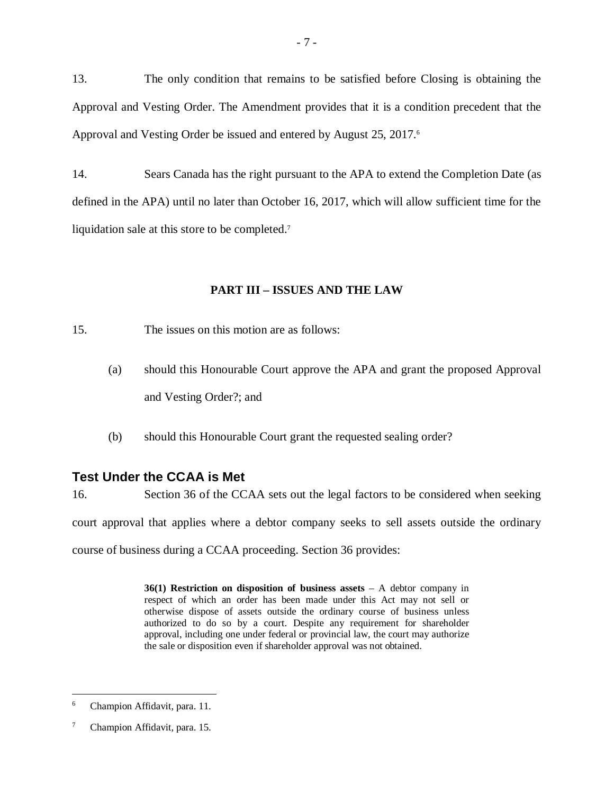13. The only condition that remains to be satisfied before Closing is obtaining the Approval and Vesting Order. The Amendment provides that it is a condition precedent that the Approval and Vesting Order be issued and entered by August 25, 2017.<sup>6</sup>

14. Sears Canada has the right pursuant to the APA to extend the Completion Date (as defined in the APA) until no later than October 16, 2017, which will allow sufficient time for the liquidation sale at this store to be completed.<sup>7</sup>

## **PART III – ISSUES AND THE LAW**

- 15. The issues on this motion are as follows:
	- (a) should this Honourable Court approve the APA and grant the proposed Approval and Vesting Order?; and
	- (b) should this Honourable Court grant the requested sealing order?

## **Test Under the CCAA is Met**

16. Section 36 of the CCAA sets out the legal factors to be considered when seeking court approval that applies where a debtor company seeks to sell assets outside the ordinary course of business during a CCAA proceeding. Section 36 provides:

> **36(1) Restriction on disposition of business assets** – A debtor company in respect of which an order has been made under this Act may not sell or otherwise dispose of assets outside the ordinary course of business unless authorized to do so by a court. Despite any requirement for shareholder approval, including one under federal or provincial law, the court may authorize the sale or disposition even if shareholder approval was not obtained.

<sup>6</sup> Champion Affidavit, para. 11.

<sup>&</sup>lt;sup>7</sup> Champion Affidavit, para. 15.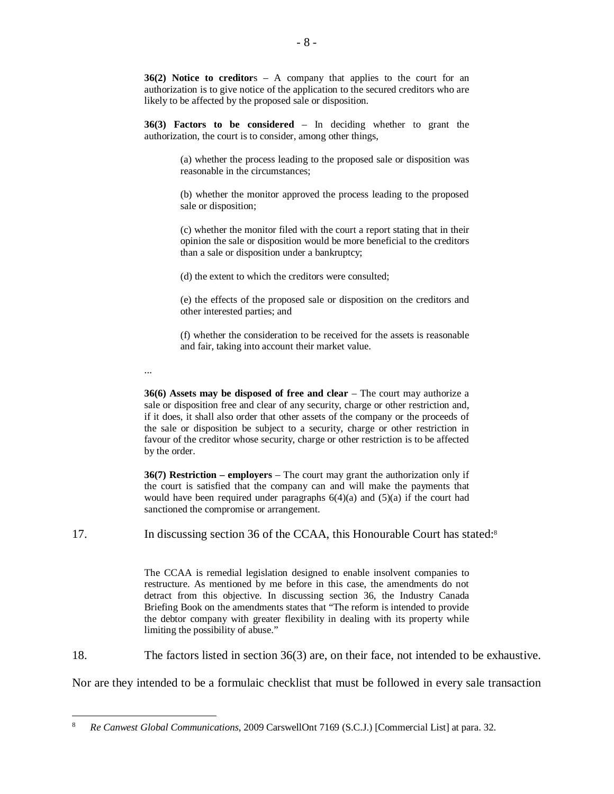**36(2) Notice to creditor**s – A company that applies to the court for an authorization is to give notice of the application to the secured creditors who are likely to be affected by the proposed sale or disposition.

**36(3) Factors to be considered** – In deciding whether to grant the authorization, the court is to consider, among other things,

> (a) whether the process leading to the proposed sale or disposition was reasonable in the circumstances;

> (b) whether the monitor approved the process leading to the proposed sale or disposition;

> (c) whether the monitor filed with the court a report stating that in their opinion the sale or disposition would be more beneficial to the creditors than a sale or disposition under a bankruptcy;

(d) the extent to which the creditors were consulted;

...

 $\overline{a}$ 

(e) the effects of the proposed sale or disposition on the creditors and other interested parties; and

(f) whether the consideration to be received for the assets is reasonable and fair, taking into account their market value.

**36(6) Assets may be disposed of free and clear** – The court may authorize a sale or disposition free and clear of any security, charge or other restriction and, if it does, it shall also order that other assets of the company or the proceeds of the sale or disposition be subject to a security, charge or other restriction in favour of the creditor whose security, charge or other restriction is to be affected by the order.

**36(7) Restriction – employers** – The court may grant the authorization only if the court is satisfied that the company can and will make the payments that would have been required under paragraphs  $6(4)(a)$  and  $(5)(a)$  if the court had sanctioned the compromise or arrangement.

17. In discussing section 36 of the CCAA, this Honourable Court has stated:<sup>8</sup>

The CCAA is remedial legislation designed to enable insolvent companies to restructure. As mentioned by me before in this case, the amendments do not detract from this objective. In discussing section 36, the Industry Canada Briefing Book on the amendments states that "The reform is intended to provide the debtor company with greater flexibility in dealing with its property while limiting the possibility of abuse."

18. The factors listed in section 36(3) are, on their face, not intended to be exhaustive.

Nor are they intended to be a formulaic checklist that must be followed in every sale transaction

<sup>8</sup> *Re Canwest Global Communications*, 2009 CarswellOnt 7169 (S.C.J.) [Commercial List] at para. 32.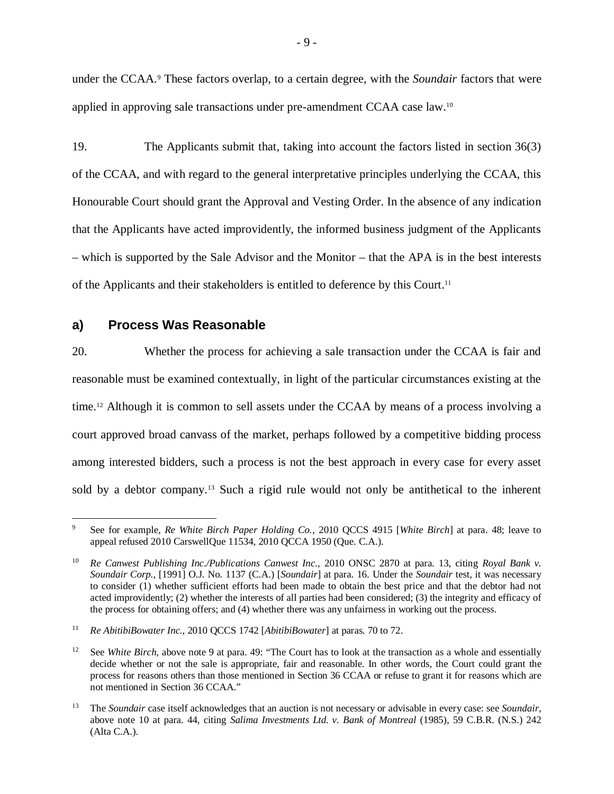under the CCAA.<sup>9</sup> These factors overlap, to a certain degree, with the *Soundair* factors that were applied in approving sale transactions under pre-amendment CCAA case law.<sup>10</sup>

19. The Applicants submit that, taking into account the factors listed in section 36(3) of the CCAA, and with regard to the general interpretative principles underlying the CCAA, this Honourable Court should grant the Approval and Vesting Order. In the absence of any indication that the Applicants have acted improvidently, the informed business judgment of the Applicants – which is supported by the Sale Advisor and the Monitor – that the APA is in the best interests of the Applicants and their stakeholders is entitled to deference by this Court.<sup>11</sup>

## **a) Process Was Reasonable**

 $\overline{a}$ 

20. Whether the process for achieving a sale transaction under the CCAA is fair and reasonable must be examined contextually, in light of the particular circumstances existing at the time.<sup>12</sup> Although it is common to sell assets under the CCAA by means of a process involving a court approved broad canvass of the market, perhaps followed by a competitive bidding process among interested bidders, such a process is not the best approach in every case for every asset sold by a debtor company.<sup>13</sup> Such a rigid rule would not only be antithetical to the inherent

<sup>9</sup> See for example, *Re White Birch Paper Holding Co.*, 2010 QCCS 4915 [*White Birch*] at para. 48; leave to appeal refused 2010 CarswellQue 11534, 2010 QCCA 1950 (Que. C.A.).

<sup>10</sup> *Re Canwest Publishing Inc./Publications Canwest Inc.,* 2010 ONSC 2870 at para. 13, citing *Royal Bank v. Soundair Corp.*, [1991] O.J. No. 1137 (C.A.) [*Soundair*] at para. 16. Under the *Soundair* test, it was necessary to consider (1) whether sufficient efforts had been made to obtain the best price and that the debtor had not acted improvidently; (2) whether the interests of all parties had been considered; (3) the integrity and efficacy of the process for obtaining offers; and (4) whether there was any unfairness in working out the process.

<sup>11</sup> *Re AbitibiBowater Inc.*, 2010 QCCS 1742 [*AbitibiBowater*] at paras. 70 to 72.

<sup>&</sup>lt;sup>12</sup> See *White Birch*, above note 9 at para. 49: "The Court has to look at the transaction as a whole and essentially decide whether or not the sale is appropriate, fair and reasonable. In other words, the Court could grant the process for reasons others than those mentioned in Section 36 CCAA or refuse to grant it for reasons which are not mentioned in Section 36 CCAA."

<sup>13</sup> The *Soundair* case itself acknowledges that an auction is not necessary or advisable in every case: see *Soundair*, above note 10 at para. 44, citing *Salima Investments Ltd. v. Bank of Montreal* (1985), 59 C.B.R. (N.S.) 242 (Alta C.A.).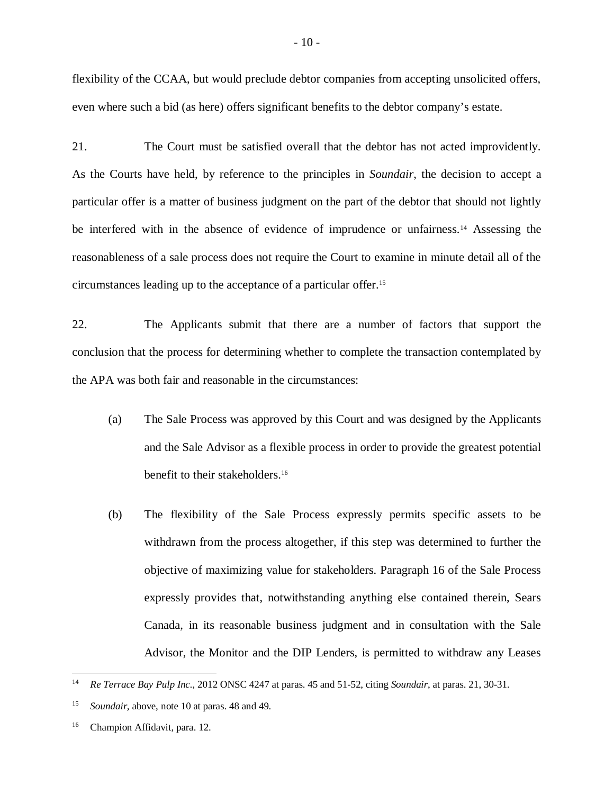flexibility of the CCAA, but would preclude debtor companies from accepting unsolicited offers, even where such a bid (as here) offers significant benefits to the debtor company's estate.

21. The Court must be satisfied overall that the debtor has not acted improvidently. As the Courts have held, by reference to the principles in *Soundair*, the decision to accept a particular offer is a matter of business judgment on the part of the debtor that should not lightly be interfered with in the absence of evidence of imprudence or unfairness.<sup>14</sup> Assessing the reasonableness of a sale process does not require the Court to examine in minute detail all of the circumstances leading up to the acceptance of a particular offer.<sup>15</sup>

22. The Applicants submit that there are a number of factors that support the conclusion that the process for determining whether to complete the transaction contemplated by the APA was both fair and reasonable in the circumstances:

- (a) The Sale Process was approved by this Court and was designed by the Applicants and the Sale Advisor as a flexible process in order to provide the greatest potential benefit to their stakeholders.<sup>16</sup>
- (b) The flexibility of the Sale Process expressly permits specific assets to be withdrawn from the process altogether, if this step was determined to further the objective of maximizing value for stakeholders. Paragraph 16 of the Sale Process expressly provides that, notwithstanding anything else contained therein, Sears Canada, in its reasonable business judgment and in consultation with the Sale Advisor, the Monitor and the DIP Lenders, is permitted to withdraw any Leases

 $14$ <sup>14</sup> *Re Terrace Bay Pulp Inc.*, 2012 ONSC 4247 at paras. 45 and 51-52, citing *Soundair*, at paras. 21, 30-31.

<sup>15</sup> *Soundair,* above, note 10 at paras. 48 and 49.

<sup>&</sup>lt;sup>16</sup> Champion Affidavit, para. 12.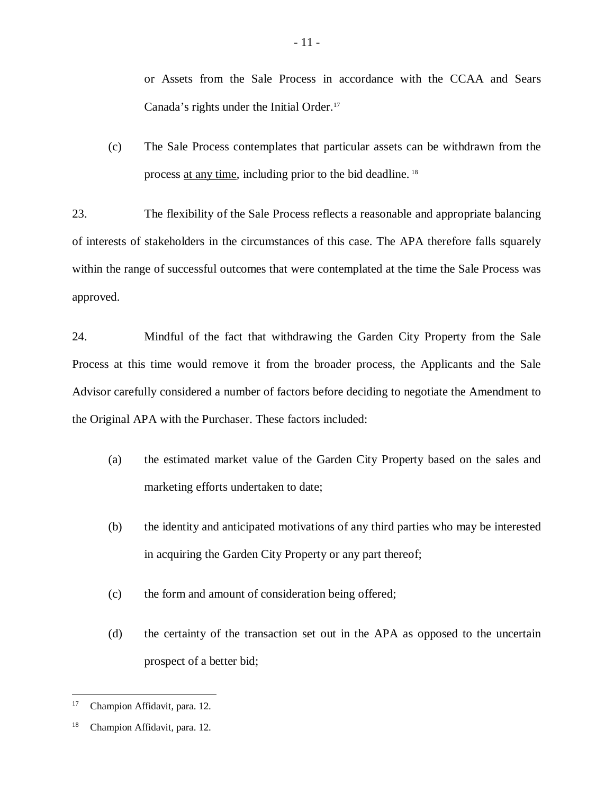or Assets from the Sale Process in accordance with the CCAA and Sears Canada's rights under the Initial Order.<sup>17</sup>

(c) The Sale Process contemplates that particular assets can be withdrawn from the process at any time, including prior to the bid deadline. <sup>18</sup>

23. The flexibility of the Sale Process reflects a reasonable and appropriate balancing of interests of stakeholders in the circumstances of this case. The APA therefore falls squarely within the range of successful outcomes that were contemplated at the time the Sale Process was approved.

24. Mindful of the fact that withdrawing the Garden City Property from the Sale Process at this time would remove it from the broader process, the Applicants and the Sale Advisor carefully considered a number of factors before deciding to negotiate the Amendment to the Original APA with the Purchaser. These factors included:

- (a) the estimated market value of the Garden City Property based on the sales and marketing efforts undertaken to date;
- (b) the identity and anticipated motivations of any third parties who may be interested in acquiring the Garden City Property or any part thereof;
- (c) the form and amount of consideration being offered;
- (d) the certainty of the transaction set out in the APA as opposed to the uncertain prospect of a better bid;

<sup>17</sup> Champion Affidavit, para. 12.

<sup>18</sup> Champion Affidavit, para. 12.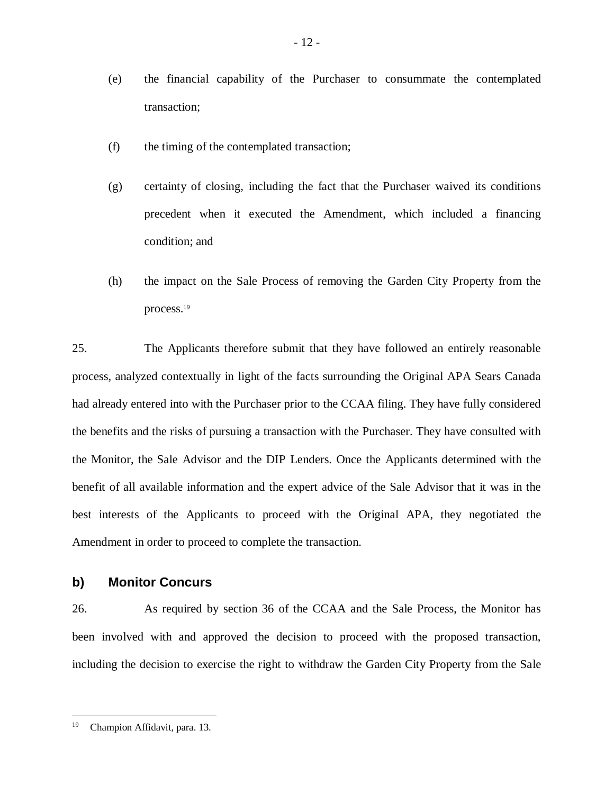- (e) the financial capability of the Purchaser to consummate the contemplated transaction;
- (f) the timing of the contemplated transaction;
- (g) certainty of closing, including the fact that the Purchaser waived its conditions precedent when it executed the Amendment, which included a financing condition; and
- (h) the impact on the Sale Process of removing the Garden City Property from the process.<sup>19</sup>

25. The Applicants therefore submit that they have followed an entirely reasonable process, analyzed contextually in light of the facts surrounding the Original APA Sears Canada had already entered into with the Purchaser prior to the CCAA filing. They have fully considered the benefits and the risks of pursuing a transaction with the Purchaser. They have consulted with the Monitor, the Sale Advisor and the DIP Lenders. Once the Applicants determined with the benefit of all available information and the expert advice of the Sale Advisor that it was in the best interests of the Applicants to proceed with the Original APA, they negotiated the Amendment in order to proceed to complete the transaction.

## **b) Monitor Concurs**

26. As required by section 36 of the CCAA and the Sale Process, the Monitor has been involved with and approved the decision to proceed with the proposed transaction, including the decision to exercise the right to withdraw the Garden City Property from the Sale

<sup>19</sup> Champion Affidavit, para. 13.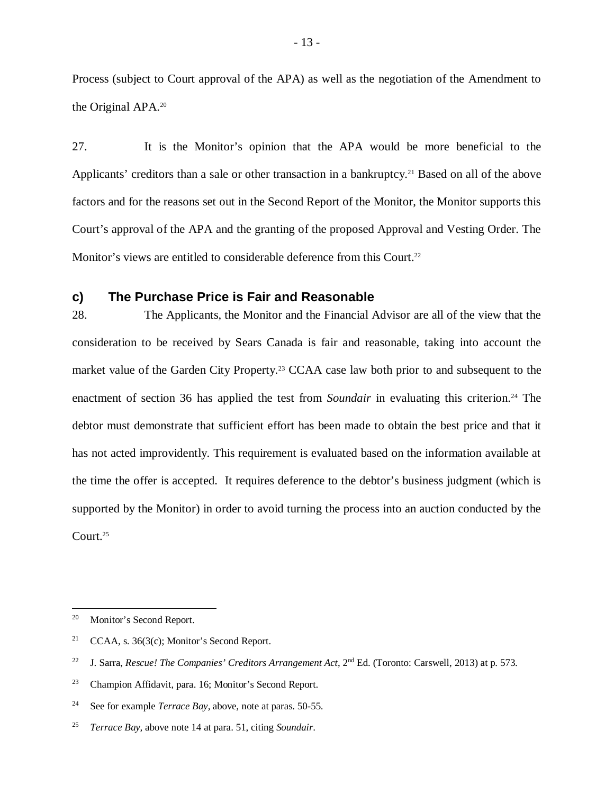Process (subject to Court approval of the APA) as well as the negotiation of the Amendment to the Original APA.<sup>20</sup>

27. It is the Monitor's opinion that the APA would be more beneficial to the Applicants' creditors than a sale or other transaction in a bankruptcy.<sup>21</sup> Based on all of the above factors and for the reasons set out in the Second Report of the Monitor, the Monitor supports this Court's approval of the APA and the granting of the proposed Approval and Vesting Order. The Monitor's views are entitled to considerable deference from this Court.<sup>22</sup>

## **c) The Purchase Price is Fair and Reasonable**

28. The Applicants, the Monitor and the Financial Advisor are all of the view that the consideration to be received by Sears Canada is fair and reasonable, taking into account the market value of the Garden City Property.<sup>23</sup> CCAA case law both prior to and subsequent to the enactment of section 36 has applied the test from *Soundair* in evaluating this criterion.<sup>24</sup> The debtor must demonstrate that sufficient effort has been made to obtain the best price and that it has not acted improvidently. This requirement is evaluated based on the information available at the time the offer is accepted. It requires deference to the debtor's business judgment (which is supported by the Monitor) in order to avoid turning the process into an auction conducted by the Court.<sup>25</sup>

<sup>20</sup> Monitor's Second Report.

<sup>&</sup>lt;sup>21</sup> CCAA, s.  $36(3(c)$ ; Monitor's Second Report.

<sup>&</sup>lt;sup>22</sup> J. Sarra, *Rescue! The Companies' Creditors Arrangement Act*, 2<sup>nd</sup> Ed. (Toronto: Carswell, 2013) at p. 573.

<sup>23</sup> Champion Affidavit, para. 16; Monitor's Second Report.

<sup>24</sup> See for example *Terrace Bay,* above, note at paras. 50-55.

<sup>25</sup> *Terrace Bay,* above note 14 at para. 51, citing *Soundair*.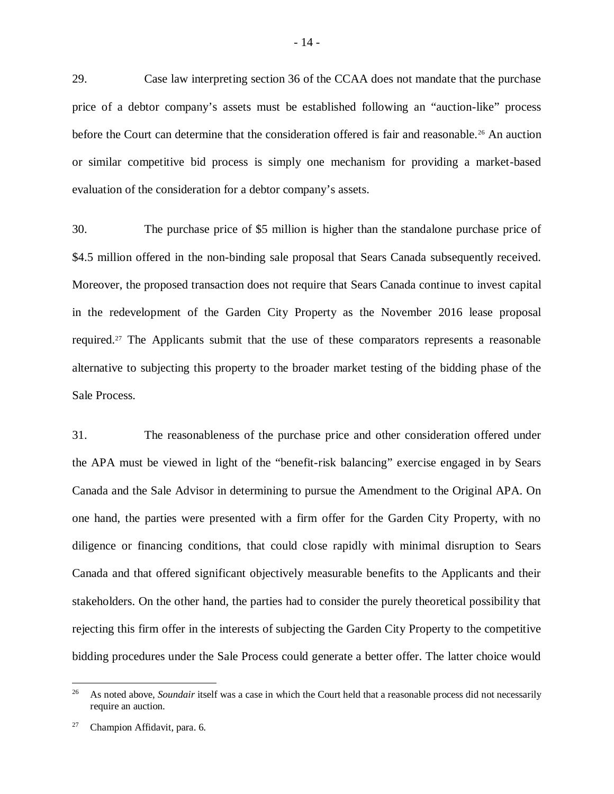29. Case law interpreting section 36 of the CCAA does not mandate that the purchase price of a debtor company's assets must be established following an "auction-like" process before the Court can determine that the consideration offered is fair and reasonable.<sup>26</sup> An auction or similar competitive bid process is simply one mechanism for providing a market-based evaluation of the consideration for a debtor company's assets.

30. The purchase price of \$5 million is higher than the standalone purchase price of \$4.5 million offered in the non-binding sale proposal that Sears Canada subsequently received. Moreover, the proposed transaction does not require that Sears Canada continue to invest capital in the redevelopment of the Garden City Property as the November 2016 lease proposal required.<sup>27</sup> The Applicants submit that the use of these comparators represents a reasonable alternative to subjecting this property to the broader market testing of the bidding phase of the Sale Process.

31. The reasonableness of the purchase price and other consideration offered under the APA must be viewed in light of the "benefit-risk balancing" exercise engaged in by Sears Canada and the Sale Advisor in determining to pursue the Amendment to the Original APA. On one hand, the parties were presented with a firm offer for the Garden City Property, with no diligence or financing conditions, that could close rapidly with minimal disruption to Sears Canada and that offered significant objectively measurable benefits to the Applicants and their stakeholders. On the other hand, the parties had to consider the purely theoretical possibility that rejecting this firm offer in the interests of subjecting the Garden City Property to the competitive bidding procedures under the Sale Process could generate a better offer. The latter choice would

<sup>&</sup>lt;sup>26</sup> As noted above, *Soundair* itself was a case in which the Court held that a reasonable process did not necessarily require an auction.

Champion Affidavit, para. 6.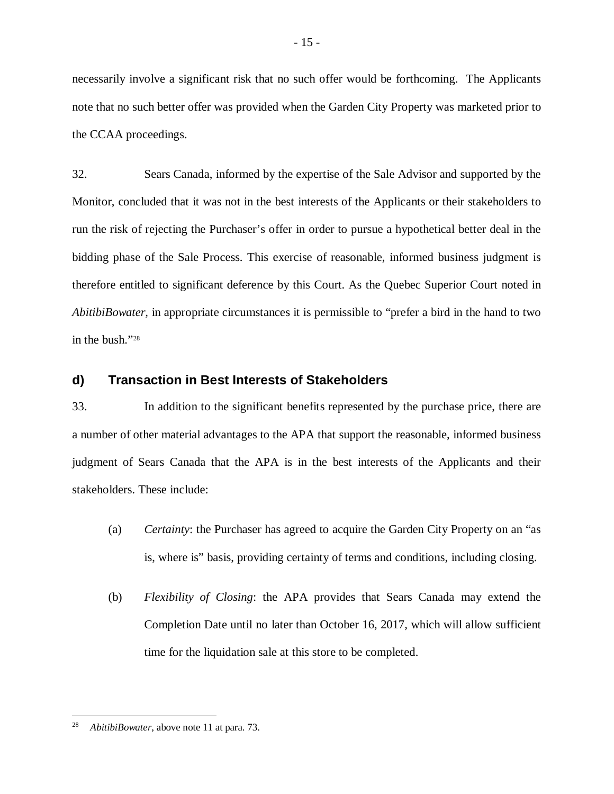necessarily involve a significant risk that no such offer would be forthcoming. The Applicants note that no such better offer was provided when the Garden City Property was marketed prior to the CCAA proceedings.

32. Sears Canada, informed by the expertise of the Sale Advisor and supported by the Monitor, concluded that it was not in the best interests of the Applicants or their stakeholders to run the risk of rejecting the Purchaser's offer in order to pursue a hypothetical better deal in the bidding phase of the Sale Process. This exercise of reasonable, informed business judgment is therefore entitled to significant deference by this Court. As the Quebec Superior Court noted in *AbitibiBowater,* in appropriate circumstances it is permissible to "prefer a bird in the hand to two in the bush."<sup>28</sup>

## **d) Transaction in Best Interests of Stakeholders**

33. In addition to the significant benefits represented by the purchase price, there are a number of other material advantages to the APA that support the reasonable, informed business judgment of Sears Canada that the APA is in the best interests of the Applicants and their stakeholders. These include:

- (a) *Certainty*: the Purchaser has agreed to acquire the Garden City Property on an "as is, where is" basis, providing certainty of terms and conditions, including closing.
- (b) *Flexibility of Closing*: the APA provides that Sears Canada may extend the Completion Date until no later than October 16, 2017, which will allow sufficient time for the liquidation sale at this store to be completed.

 $\overline{a}$ <sup>28</sup> *AbitibiBowater*, above note 11 at para. 73.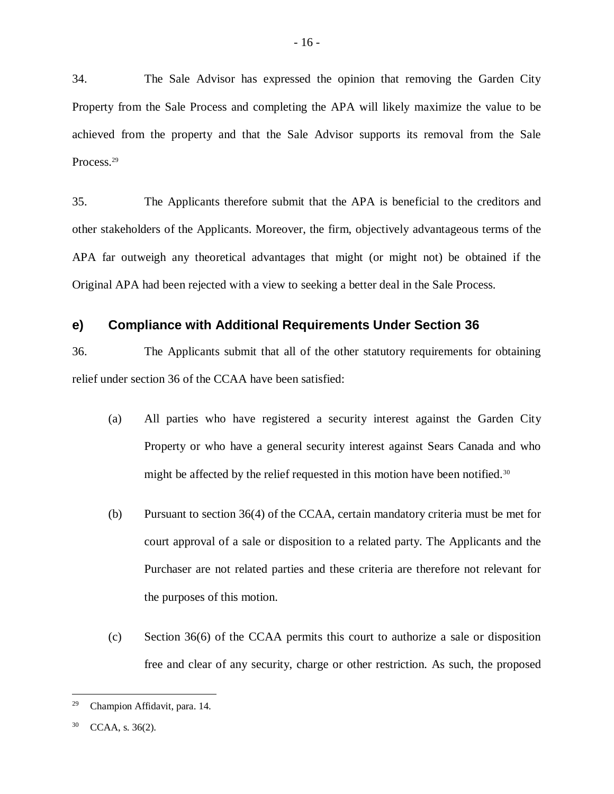34. The Sale Advisor has expressed the opinion that removing the Garden City Property from the Sale Process and completing the APA will likely maximize the value to be achieved from the property and that the Sale Advisor supports its removal from the Sale Process.<sup>29</sup>

35. The Applicants therefore submit that the APA is beneficial to the creditors and other stakeholders of the Applicants. Moreover, the firm, objectively advantageous terms of the APA far outweigh any theoretical advantages that might (or might not) be obtained if the Original APA had been rejected with a view to seeking a better deal in the Sale Process.

## **e) Compliance with Additional Requirements Under Section 36**

36. The Applicants submit that all of the other statutory requirements for obtaining relief under section 36 of the CCAA have been satisfied:

- (a) All parties who have registered a security interest against the Garden City Property or who have a general security interest against Sears Canada and who might be affected by the relief requested in this motion have been notified.<sup>30</sup>
- (b) Pursuant to section 36(4) of the CCAA, certain mandatory criteria must be met for court approval of a sale or disposition to a related party. The Applicants and the Purchaser are not related parties and these criteria are therefore not relevant for the purposes of this motion.
- (c) Section 36(6) of the CCAA permits this court to authorize a sale or disposition free and clear of any security, charge or other restriction. As such, the proposed

<sup>29</sup> Champion Affidavit, para. 14.

 $30$  CCAA, s. 36(2).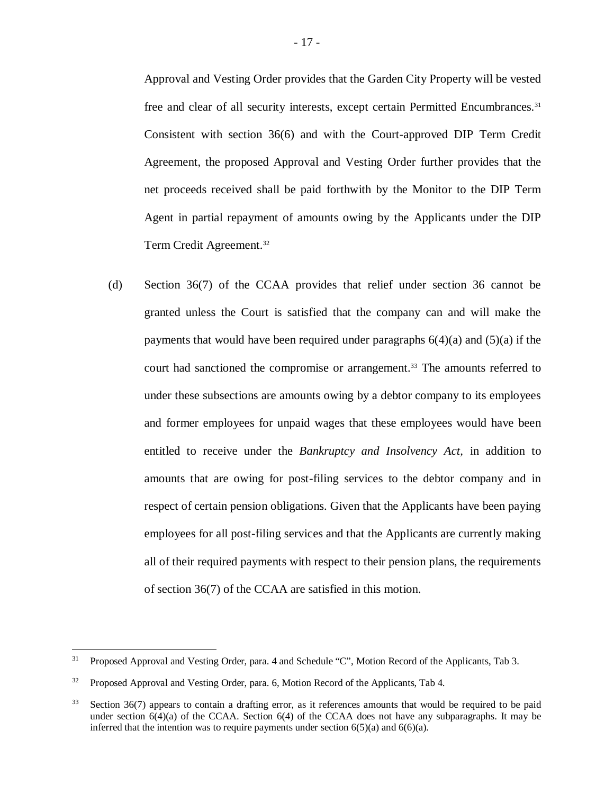Approval and Vesting Order provides that the Garden City Property will be vested free and clear of all security interests, except certain Permitted Encumbrances.<sup>31</sup> Consistent with section 36(6) and with the Court-approved DIP Term Credit Agreement, the proposed Approval and Vesting Order further provides that the net proceeds received shall be paid forthwith by the Monitor to the DIP Term Agent in partial repayment of amounts owing by the Applicants under the DIP Term Credit Agreement.<sup>32</sup>

(d) Section 36(7) of the CCAA provides that relief under section 36 cannot be granted unless the Court is satisfied that the company can and will make the payments that would have been required under paragraphs  $6(4)(a)$  and  $(5)(a)$  if the court had sanctioned the compromise or arrangement.<sup>33</sup> The amounts referred to under these subsections are amounts owing by a debtor company to its employees and former employees for unpaid wages that these employees would have been entitled to receive under the *Bankruptcy and Insolvency Act,* in addition to amounts that are owing for post-filing services to the debtor company and in respect of certain pension obligations. Given that the Applicants have been paying employees for all post-filing services and that the Applicants are currently making all of their required payments with respect to their pension plans, the requirements of section 36(7) of the CCAA are satisfied in this motion.

<sup>&</sup>lt;sup>31</sup> Proposed Approval and Vesting Order, para. 4 and Schedule "C", Motion Record of the Applicants, Tab 3.

<sup>&</sup>lt;sup>32</sup> Proposed Approval and Vesting Order, para. 6, Motion Record of the Applicants, Tab 4.

 $33$  Section 36(7) appears to contain a drafting error, as it references amounts that would be required to be paid under section 6(4)(a) of the CCAA. Section 6(4) of the CCAA does not have any subparagraphs. It may be inferred that the intention was to require payments under section  $6(5)(a)$  and  $6(6)(a)$ .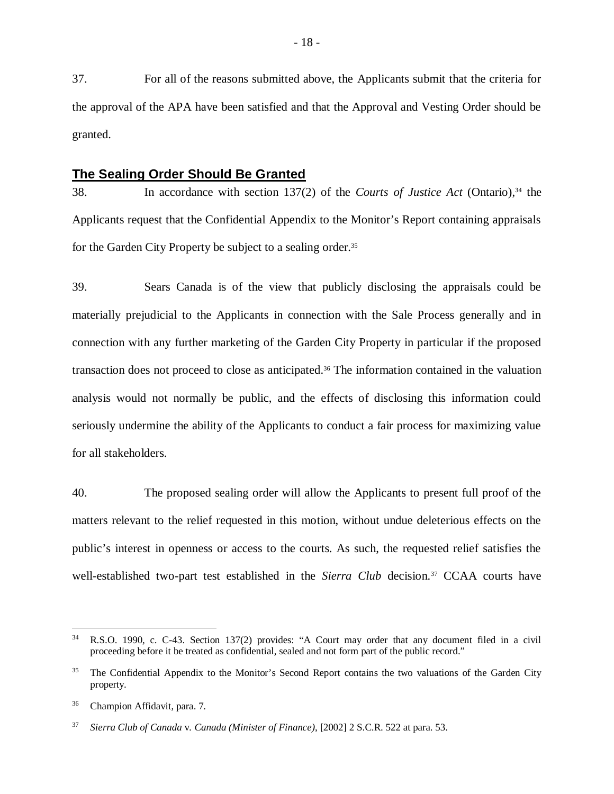37. For all of the reasons submitted above, the Applicants submit that the criteria for the approval of the APA have been satisfied and that the Approval and Vesting Order should be granted.

## **The Sealing Order Should Be Granted**

38. In accordance with section 137(2) of the *Courts of Justice Act* (Ontario),<sup>34</sup> the Applicants request that the Confidential Appendix to the Monitor's Report containing appraisals for the Garden City Property be subject to a sealing order.<sup>35</sup>

39. Sears Canada is of the view that publicly disclosing the appraisals could be materially prejudicial to the Applicants in connection with the Sale Process generally and in connection with any further marketing of the Garden City Property in particular if the proposed transaction does not proceed to close as anticipated.<sup>36</sup> The information contained in the valuation analysis would not normally be public, and the effects of disclosing this information could seriously undermine the ability of the Applicants to conduct a fair process for maximizing value for all stakeholders.

40. The proposed sealing order will allow the Applicants to present full proof of the matters relevant to the relief requested in this motion, without undue deleterious effects on the public's interest in openness or access to the courts. As such, the requested relief satisfies the well-established two-part test established in the *Sierra Club* decision.<sup>37</sup> CCAA courts have

<sup>34</sup> R.S.O. 1990, c. C-43. Section 137(2) provides: "A Court may order that any document filed in a civil proceeding before it be treated as confidential, sealed and not form part of the public record."

<sup>&</sup>lt;sup>35</sup> The Confidential Appendix to the Monitor's Second Report contains the two valuations of the Garden City property.

<sup>36</sup> Champion Affidavit, para. 7.

<sup>37</sup> *Sierra Club of Canada* v*. Canada (Minister of Finance)*, [2002] 2 S.C.R. 522 at para. 53.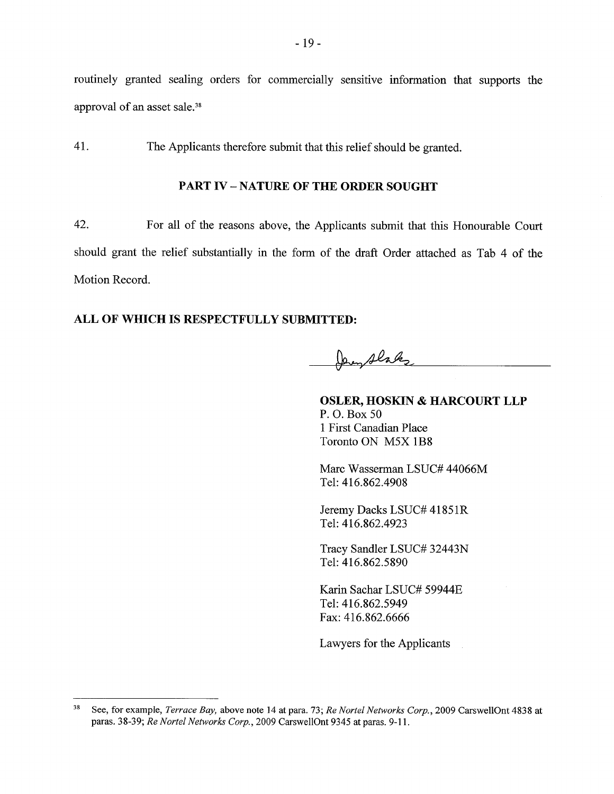routinely granted sealing orders for commercially sensitive information that supports the approval of an asset sale.<sup>38</sup>

41. The Applicants therefore submit that this relief should be granted.

## **PART IV - NATURE OF THE ORDER SOUGHT**

42. For all of the reasons above, the Applicants submit that this Honourable Court should grant the relief substantially in the form of the draft Order attached as Tab 4 of the Motion Record.

## ALL OF WHICH IS RESPECTFULLY SUBMITTED:

Den Alaks

**OSLER, HOSKIN & HARCOURT LLP** P.O. Box 50 1 First Canadian Place Toronto ON M5X 1B8

Marc Wasserman LSUC# 44066M Tel: 416.862.4908

Jeremy Dacks LSUC# 41851R Tel: 416.862.4923

Tracy Sandler LSUC# 32443N Tel: 416.862.5890

Karin Sachar LSUC# 59944E Tel: 416.862.5949 Fax: 416.862.6666

Lawyers for the Applicants

 ${\bf 38}$ See, for example, Terrace Bay, above note 14 at para. 73; Re Nortel Networks Corp., 2009 CarswellOnt 4838 at paras. 38-39; Re Nortel Networks Corp., 2009 CarswellOnt 9345 at paras. 9-11.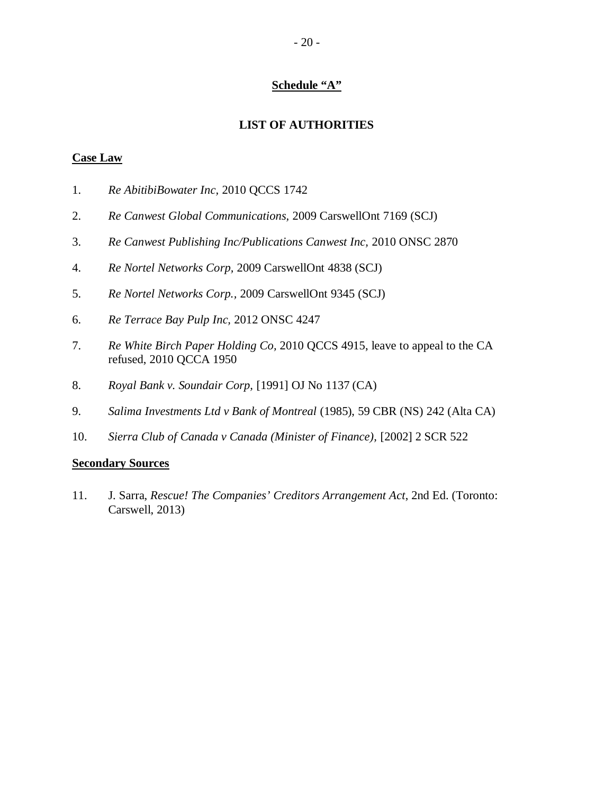## **Schedule "A"**

## **LIST OF AUTHORITIES**

## **Case Law**

- 1. *Re AbitibiBowater Inc,* 2010 QCCS 1742
- 2. *Re Canwest Global Communications,* 2009 CarswellOnt 7169 (SCJ)
- 3. *Re Canwest Publishing Inc/Publications Canwest Inc,* 2010 ONSC 2870
- 4. *Re Nortel Networks Corp,* 2009 CarswellOnt 4838 (SCJ)
- 5. *Re Nortel Networks Corp.,* 2009 CarswellOnt 9345 (SCJ)
- 6. *Re Terrace Bay Pulp Inc,* 2012 ONSC 4247
- 7. *Re White Birch Paper Holding Co,* 2010 QCCS 4915, leave to appeal to the CA refused, 2010 QCCA 1950
- 8. *Royal Bank v. Soundair Corp,* [1991] OJ No 1137 (CA)
- 9. *Salima Investments Ltd v Bank of Montreal* (1985), 59 CBR (NS) 242 (Alta CA)
- 10. *Sierra Club of Canada v Canada (Minister of Finance),* [2002] 2 SCR 522

## **Secondary Sources**

11. J. Sarra, *Rescue! The Companies' Creditors Arrangement Act*, 2nd Ed. (Toronto: Carswell, 2013)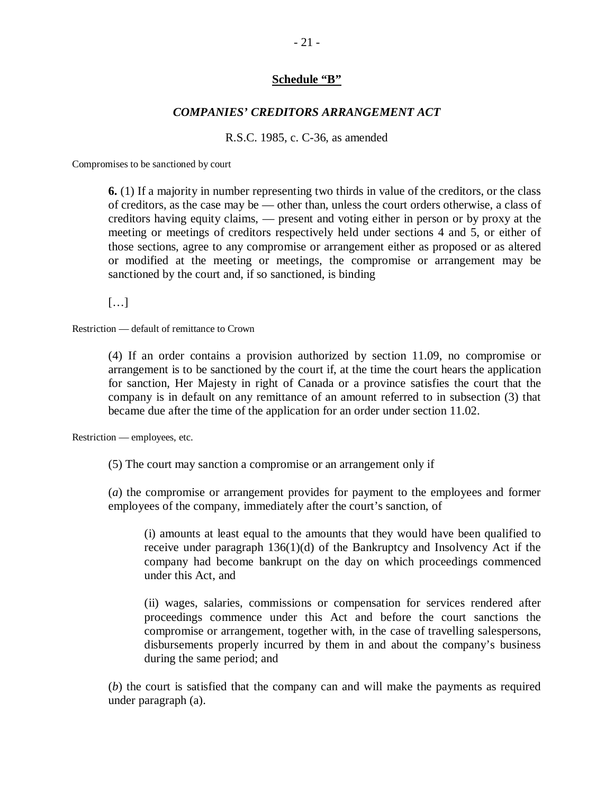## **Schedule "B"**

## *COMPANIES' CREDITORS ARRANGEMENT ACT*

R.S.C. 1985, c. C-36, as amended

Compromises to be sanctioned by court

**6.** (1) If a majority in number representing two thirds in value of the creditors, or the class of creditors, as the case may be — other than, unless the court orders otherwise, a class of creditors having equity claims, — present and voting either in person or by proxy at the meeting or meetings of creditors respectively held under sections 4 and 5, or either of those sections, agree to any compromise or arrangement either as proposed or as altered or modified at the meeting or meetings, the compromise or arrangement may be sanctioned by the court and, if so sanctioned, is binding

[…]

Restriction — default of remittance to Crown

(4) If an order contains a provision authorized by section 11.09, no compromise or arrangement is to be sanctioned by the court if, at the time the court hears the application for sanction, Her Majesty in right of Canada or a province satisfies the court that the company is in default on any remittance of an amount referred to in subsection (3) that became due after the time of the application for an order under section 11.02.

Restriction — employees, etc.

(5) The court may sanction a compromise or an arrangement only if

(*a*) the compromise or arrangement provides for payment to the employees and former employees of the company, immediately after the court's sanction, of

(i) amounts at least equal to the amounts that they would have been qualified to receive under paragraph 136(1)(d) of the Bankruptcy and Insolvency Act if the company had become bankrupt on the day on which proceedings commenced under this Act, and

(ii) wages, salaries, commissions or compensation for services rendered after proceedings commence under this Act and before the court sanctions the compromise or arrangement, together with, in the case of travelling salespersons, disbursements properly incurred by them in and about the company's business during the same period; and

(*b*) the court is satisfied that the company can and will make the payments as required under paragraph (a).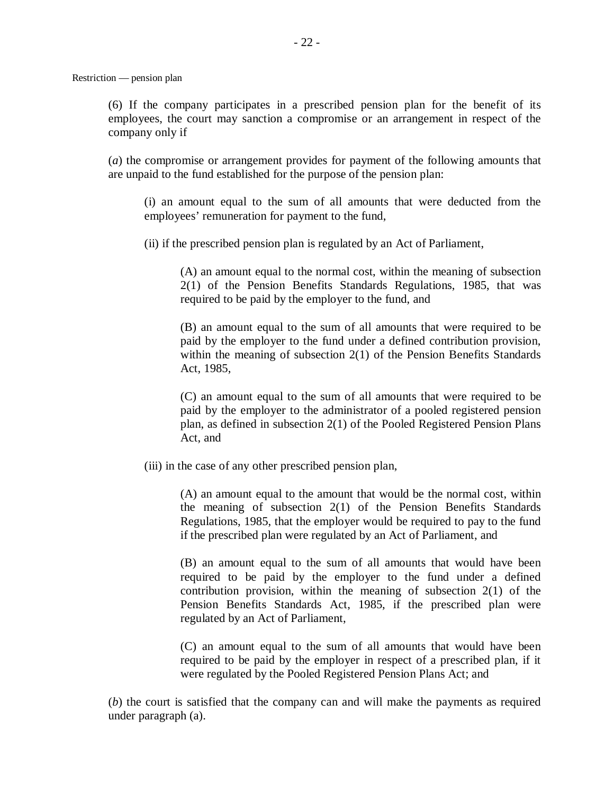(6) If the company participates in a prescribed pension plan for the benefit of its employees, the court may sanction a compromise or an arrangement in respect of the company only if

(*a*) the compromise or arrangement provides for payment of the following amounts that are unpaid to the fund established for the purpose of the pension plan:

(i) an amount equal to the sum of all amounts that were deducted from the employees' remuneration for payment to the fund,

(ii) if the prescribed pension plan is regulated by an Act of Parliament,

(A) an amount equal to the normal cost, within the meaning of subsection 2(1) of the Pension Benefits Standards Regulations, 1985, that was required to be paid by the employer to the fund, and

(B) an amount equal to the sum of all amounts that were required to be paid by the employer to the fund under a defined contribution provision, within the meaning of subsection 2(1) of the Pension Benefits Standards Act, 1985,

(C) an amount equal to the sum of all amounts that were required to be paid by the employer to the administrator of a pooled registered pension plan, as defined in subsection 2(1) of the Pooled Registered Pension Plans Act, and

(iii) in the case of any other prescribed pension plan,

(A) an amount equal to the amount that would be the normal cost, within the meaning of subsection 2(1) of the Pension Benefits Standards Regulations, 1985, that the employer would be required to pay to the fund if the prescribed plan were regulated by an Act of Parliament, and

(B) an amount equal to the sum of all amounts that would have been required to be paid by the employer to the fund under a defined contribution provision, within the meaning of subsection 2(1) of the Pension Benefits Standards Act, 1985, if the prescribed plan were regulated by an Act of Parliament,

(C) an amount equal to the sum of all amounts that would have been required to be paid by the employer in respect of a prescribed plan, if it were regulated by the Pooled Registered Pension Plans Act; and

(*b*) the court is satisfied that the company can and will make the payments as required under paragraph (a).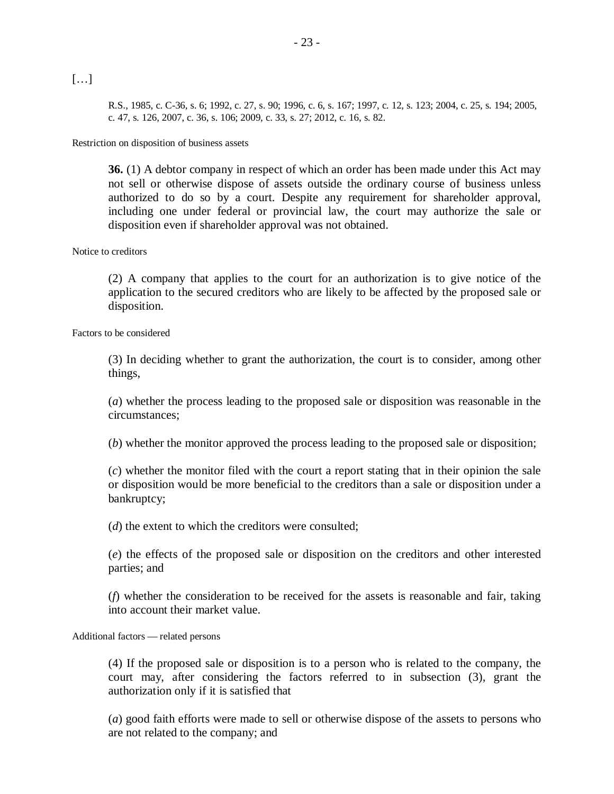[…]

R.S., 1985, c. C-36, s. 6; 1992, c. 27, s. 90; 1996, c. 6, s. 167; 1997, c. 12, s. 123; 2004, c. 25, s. 194; 2005, c. 47, s. 126, 2007, c. 36, s. 106; 2009, c. 33, s. 27; 2012, c. 16, s. 82.

Restriction on disposition of business assets

**36.** (1) A debtor company in respect of which an order has been made under this Act may not sell or otherwise dispose of assets outside the ordinary course of business unless authorized to do so by a court. Despite any requirement for shareholder approval, including one under federal or provincial law, the court may authorize the sale or disposition even if shareholder approval was not obtained.

### Notice to creditors

(2) A company that applies to the court for an authorization is to give notice of the application to the secured creditors who are likely to be affected by the proposed sale or disposition.

Factors to be considered

(3) In deciding whether to grant the authorization, the court is to consider, among other things,

(*a*) whether the process leading to the proposed sale or disposition was reasonable in the circumstances;

(*b*) whether the monitor approved the process leading to the proposed sale or disposition;

(*c*) whether the monitor filed with the court a report stating that in their opinion the sale or disposition would be more beneficial to the creditors than a sale or disposition under a bankruptcy;

(*d*) the extent to which the creditors were consulted;

(*e*) the effects of the proposed sale or disposition on the creditors and other interested parties; and

(*f*) whether the consideration to be received for the assets is reasonable and fair, taking into account their market value.

Additional factors — related persons

(4) If the proposed sale or disposition is to a person who is related to the company, the court may, after considering the factors referred to in subsection (3), grant the authorization only if it is satisfied that

(*a*) good faith efforts were made to sell or otherwise dispose of the assets to persons who are not related to the company; and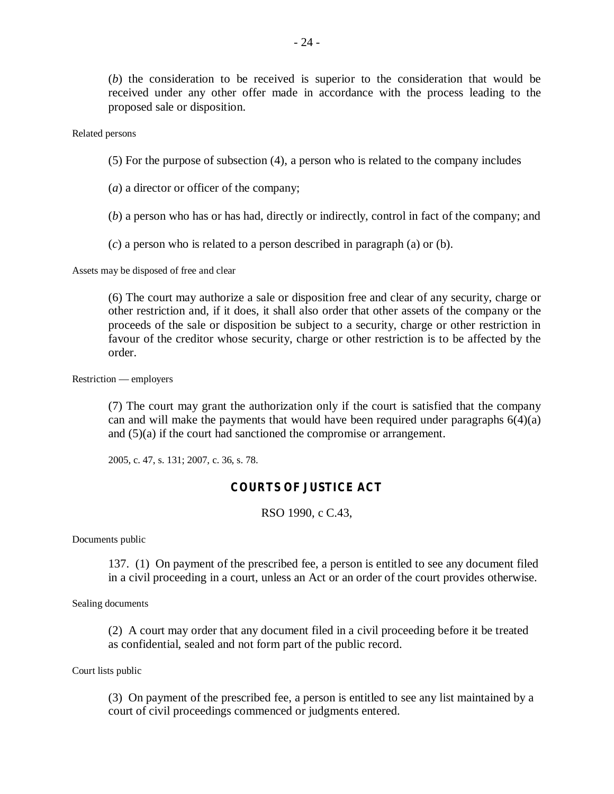(*b*) the consideration to be received is superior to the consideration that would be received under any other offer made in accordance with the process leading to the proposed sale or disposition.

Related persons

(5) For the purpose of subsection (4), a person who is related to the company includes

(*a*) a director or officer of the company;

(*b*) a person who has or has had, directly or indirectly, control in fact of the company; and

(*c*) a person who is related to a person described in paragraph (a) or (b).

Assets may be disposed of free and clear

(6) The court may authorize a sale or disposition free and clear of any security, charge or other restriction and, if it does, it shall also order that other assets of the company or the proceeds of the sale or disposition be subject to a security, charge or other restriction in favour of the creditor whose security, charge or other restriction is to be affected by the order.

Restriction — employers

(7) The court may grant the authorization only if the court is satisfied that the company can and will make the payments that would have been required under paragraphs  $6(4)(a)$ and (5)(a) if the court had sanctioned the compromise or arrangement.

2005, c. 47, s. 131; 2007, c. 36, s. 78.

## *COURTS OF JUSTICE ACT*

RSO 1990, c C.43,

Documents public

137. (1) On payment of the prescribed fee, a person is entitled to see any document filed in a civil proceeding in a court, unless an Act or an order of the court provides otherwise.

Sealing documents

(2) A court may order that any document filed in a civil proceeding before it be treated as confidential, sealed and not form part of the public record.

Court lists public

(3) On payment of the prescribed fee, a person is entitled to see any list maintained by a court of civil proceedings commenced or judgments entered.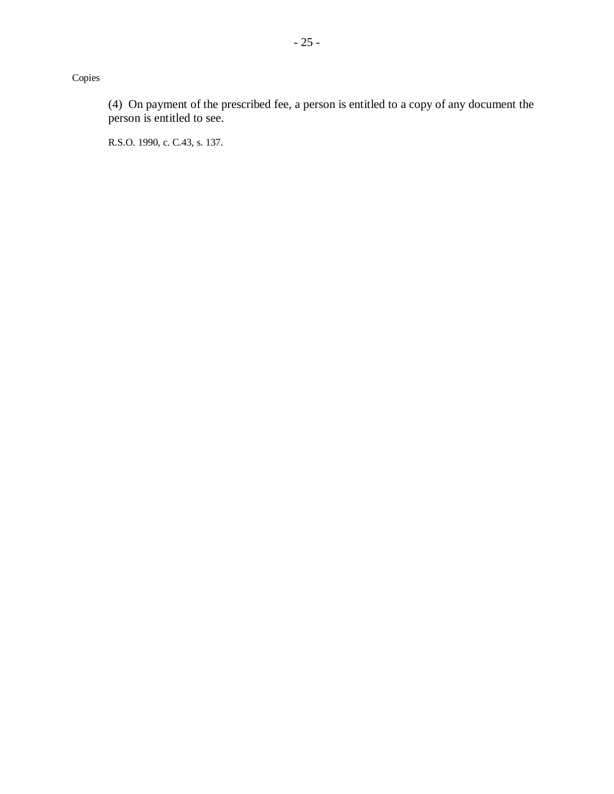Copies

(4) On payment of the prescribed fee, a person is entitled to a copy of any document the person is entitled to see.

R.S.O. 1990, c. C.43, s. 137.